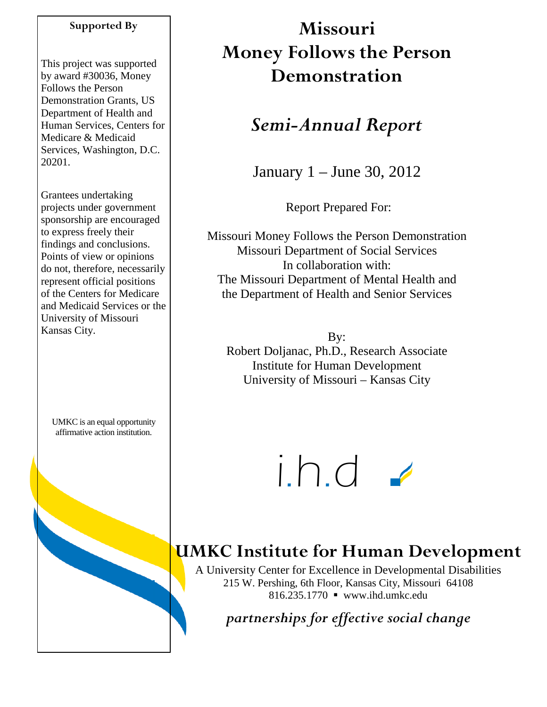## **Supported By**

This project was supported by award #30036, Money Follows the Person Demonstration Grants, US Department of Health and Human Services, Centers for Medicare & Medicaid Services, Washington, D.C. 20201.

Grantees undertaking projects under government sponsorship are encouraged to express freely their findings and conclusions. Points of view or opinions do not, therefore, necessarily represent official positions of the Centers for Medicare and Medicaid Services or the University of Missouri Kansas City.

UMKC is an equal opportunity affirmative action institution.

# **Missouri Money Follows the Person Demonstration**

## *Semi-Annual Report*

January 1 – June 30, 2012

Report Prepared For:

Missouri Money Follows the Person Demonstration Missouri Department of Social Services In collaboration with: The Missouri Department of Mental Health and the Department of Health and Senior Services

By: Robert Doljanac, Ph.D., Research Associate Institute for Human Development University of Missouri – Kansas City



## **UMKC Institute for Human Development**

A University Center for Excellence in Developmental Disabilities 215 W. Pershing, 6th Floor, Kansas City, Missouri 64108 816.235.1770 www.ihd.umkc.edu

*partnerships for effective social change*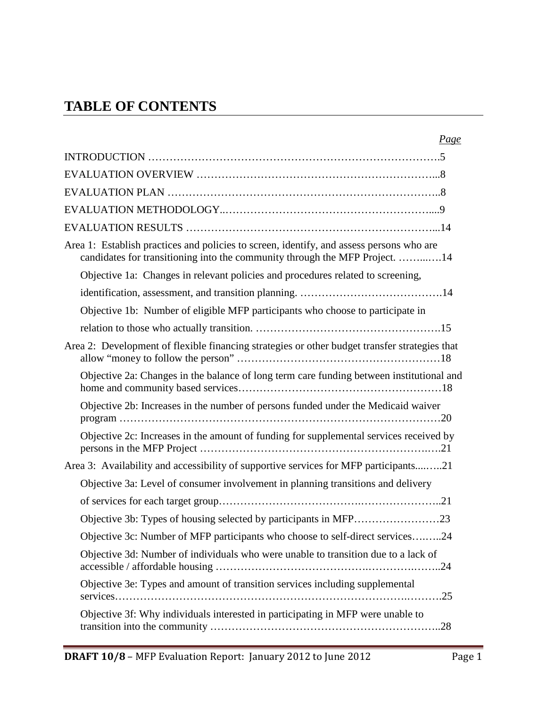## **TABLE OF CONTENTS**

| Page                                                                                                                                                                    |
|-------------------------------------------------------------------------------------------------------------------------------------------------------------------------|
|                                                                                                                                                                         |
|                                                                                                                                                                         |
|                                                                                                                                                                         |
|                                                                                                                                                                         |
|                                                                                                                                                                         |
| Area 1: Establish practices and policies to screen, identify, and assess persons who are<br>candidates for transitioning into the community through the MFP Project. 14 |
| Objective 1a: Changes in relevant policies and procedures related to screening,                                                                                         |
|                                                                                                                                                                         |
| Objective 1b: Number of eligible MFP participants who choose to participate in                                                                                          |
|                                                                                                                                                                         |
| Area 2: Development of flexible financing strategies or other budget transfer strategies that                                                                           |
| Objective 2a: Changes in the balance of long term care funding between institutional and                                                                                |
| Objective 2b: Increases in the number of persons funded under the Medicaid waiver                                                                                       |
| Objective 2c: Increases in the amount of funding for supplemental services received by                                                                                  |
| Area 3: Availability and accessibility of supportive services for MFP participants21                                                                                    |
| Objective 3a: Level of consumer involvement in planning transitions and delivery                                                                                        |
|                                                                                                                                                                         |
| Objective 3b: Types of housing selected by participants in MFP23                                                                                                        |
| Objective 3c: Number of MFP participants who choose to self-direct services24                                                                                           |
| Objective 3d: Number of individuals who were unable to transition due to a lack of                                                                                      |
| Objective 3e: Types and amount of transition services including supplemental                                                                                            |
| Objective 3f: Why individuals interested in participating in MFP were unable to                                                                                         |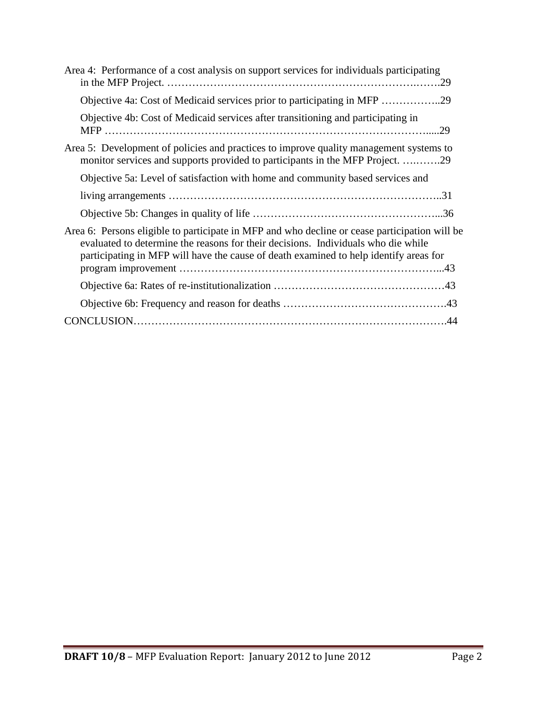| Area 4: Performance of a cost analysis on support services for individuals participating                                                                                                                                                                                    |
|-----------------------------------------------------------------------------------------------------------------------------------------------------------------------------------------------------------------------------------------------------------------------------|
| Objective 4a: Cost of Medicaid services prior to participating in MFP 29                                                                                                                                                                                                    |
| Objective 4b: Cost of Medicaid services after transitioning and participating in                                                                                                                                                                                            |
| Area 5: Development of policies and practices to improve quality management systems to<br>monitor services and supports provided to participants in the MFP Project. 29                                                                                                     |
| Objective 5a: Level of satisfaction with home and community based services and                                                                                                                                                                                              |
|                                                                                                                                                                                                                                                                             |
|                                                                                                                                                                                                                                                                             |
| Area 6: Persons eligible to participate in MFP and who decline or cease participation will be<br>evaluated to determine the reasons for their decisions. Individuals who die while<br>participating in MFP will have the cause of death examined to help identify areas for |
|                                                                                                                                                                                                                                                                             |
|                                                                                                                                                                                                                                                                             |
|                                                                                                                                                                                                                                                                             |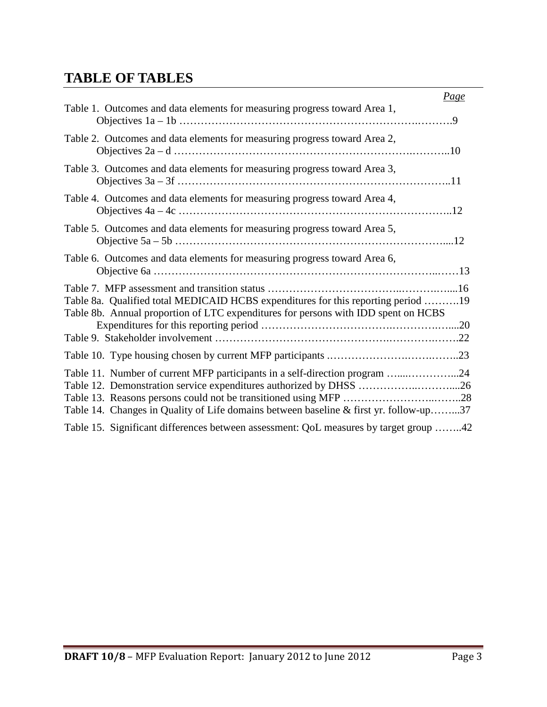## **TABLE OF TABLES**

|                                                                                                                                                                         | <u>Page</u> |
|-------------------------------------------------------------------------------------------------------------------------------------------------------------------------|-------------|
| Table 1. Outcomes and data elements for measuring progress toward Area 1,                                                                                               |             |
| Table 2. Outcomes and data elements for measuring progress toward Area 2,                                                                                               |             |
| Table 3. Outcomes and data elements for measuring progress toward Area 3,                                                                                               |             |
| Table 4. Outcomes and data elements for measuring progress toward Area 4,                                                                                               |             |
| Table 5. Outcomes and data elements for measuring progress toward Area 5,                                                                                               |             |
| Table 6. Outcomes and data elements for measuring progress toward Area 6,                                                                                               |             |
| Table 8a. Qualified total MEDICAID HCBS expenditures for this reporting period 19<br>Table 8b. Annual proportion of LTC expenditures for persons with IDD spent on HCBS |             |
|                                                                                                                                                                         |             |
|                                                                                                                                                                         |             |
| Table 11. Number of current MFP participants in a self-direction program 24<br>Table 14. Changes in Quality of Life domains between baseline & first yr. follow-up37    |             |
| Table 15. Significant differences between assessment: QoL measures by target group 42                                                                                   |             |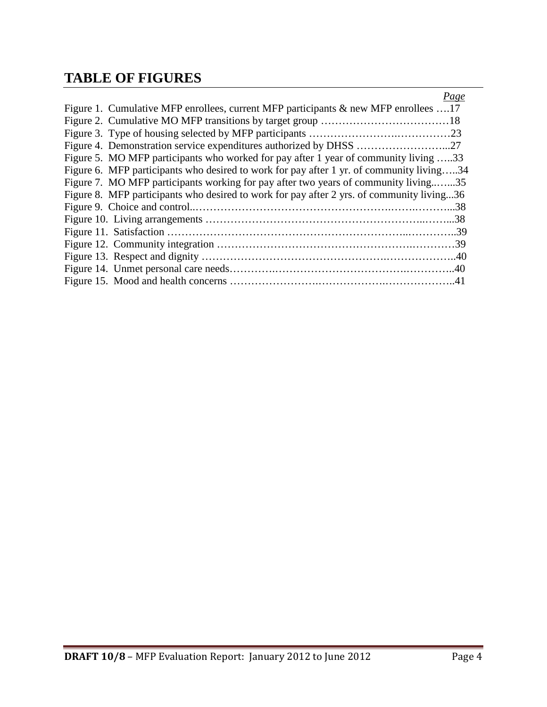## **TABLE OF FIGURES**

| Page                                                                                      |
|-------------------------------------------------------------------------------------------|
| Figure 1. Cumulative MFP enrollees, current MFP participants $\&$ new MFP enrollees 17    |
|                                                                                           |
|                                                                                           |
|                                                                                           |
| Figure 5. MO MFP participants who worked for pay after 1 year of community living 33      |
| Figure 6. MFP participants who desired to work for pay after 1 yr. of community living34  |
| Figure 7. MO MFP participants working for pay after two years of community living35       |
| Figure 8. MFP participants who desired to work for pay after 2 yrs. of community living36 |
|                                                                                           |
|                                                                                           |
|                                                                                           |
|                                                                                           |
|                                                                                           |
|                                                                                           |
|                                                                                           |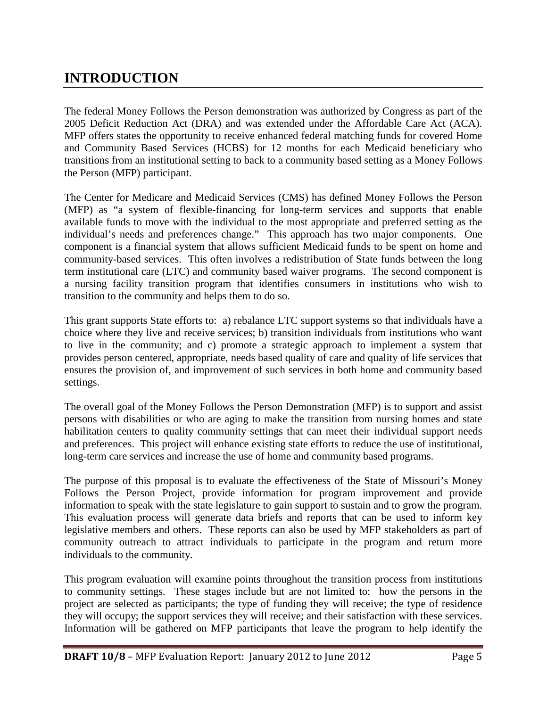## **INTRODUCTION**

The federal Money Follows the Person demonstration was authorized by Congress as part of the 2005 Deficit Reduction Act (DRA) and was extended under the Affordable Care Act (ACA). MFP offers states the opportunity to receive enhanced federal matching funds for covered Home and Community Based Services (HCBS) for 12 months for each Medicaid beneficiary who transitions from an institutional setting to back to a community based setting as a Money Follows the Person (MFP) participant.

The Center for Medicare and Medicaid Services (CMS) has defined Money Follows the Person (MFP) as "a system of flexible-financing for long-term services and supports that enable available funds to move with the individual to the most appropriate and preferred setting as the individual's needs and preferences change." This approach has two major components. One component is a financial system that allows sufficient Medicaid funds to be spent on home and community-based services. This often involves a redistribution of State funds between the long term institutional care (LTC) and community based waiver programs. The second component is a nursing facility transition program that identifies consumers in institutions who wish to transition to the community and helps them to do so.

This grant supports State efforts to: a) rebalance LTC support systems so that individuals have a choice where they live and receive services; b) transition individuals from institutions who want to live in the community; and c) promote a strategic approach to implement a system that provides person centered, appropriate, needs based quality of care and quality of life services that ensures the provision of, and improvement of such services in both home and community based settings.

The overall goal of the Money Follows the Person Demonstration (MFP) is to support and assist persons with disabilities or who are aging to make the transition from nursing homes and state habilitation centers to quality community settings that can meet their individual support needs and preferences. This project will enhance existing state efforts to reduce the use of institutional, long-term care services and increase the use of home and community based programs.

The purpose of this proposal is to evaluate the effectiveness of the State of Missouri's Money Follows the Person Project, provide information for program improvement and provide information to speak with the state legislature to gain support to sustain and to grow the program. This evaluation process will generate data briefs and reports that can be used to inform key legislative members and others. These reports can also be used by MFP stakeholders as part of community outreach to attract individuals to participate in the program and return more individuals to the community.

This program evaluation will examine points throughout the transition process from institutions to community settings. These stages include but are not limited to: how the persons in the project are selected as participants; the type of funding they will receive; the type of residence they will occupy; the support services they will receive; and their satisfaction with these services. Information will be gathered on MFP participants that leave the program to help identify the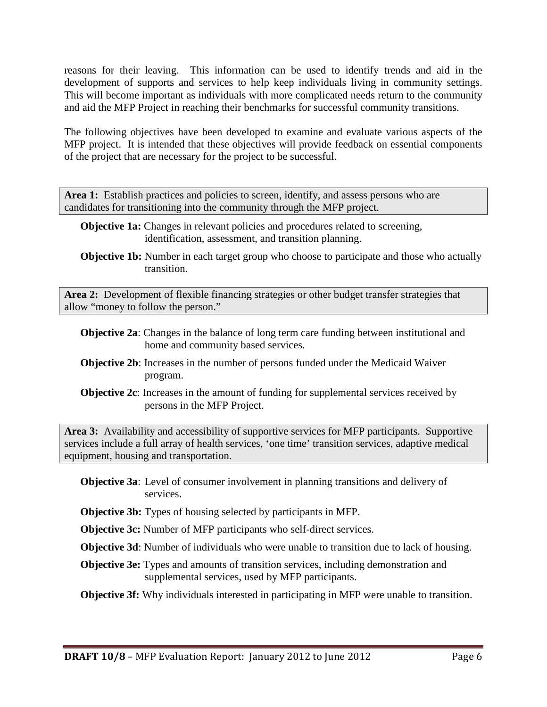reasons for their leaving. This information can be used to identify trends and aid in the development of supports and services to help keep individuals living in community settings. This will become important as individuals with more complicated needs return to the community and aid the MFP Project in reaching their benchmarks for successful community transitions.

The following objectives have been developed to examine and evaluate various aspects of the MFP project. It is intended that these objectives will provide feedback on essential components of the project that are necessary for the project to be successful.

Area 1: Establish practices and policies to screen, identify, and assess persons who are candidates for transitioning into the community through the MFP project.

- **Objective 1a:** Changes in relevant policies and procedures related to screening, identification, assessment, and transition planning.
- **Objective 1b:** Number in each target group who choose to participate and those who actually transition.

**Area 2:** Development of flexible financing strategies or other budget transfer strategies that allow "money to follow the person."

- **Objective 2a**: Changes in the balance of long term care funding between institutional and home and community based services.
- **Objective 2b**: Increases in the number of persons funded under the Medicaid Waiver program.
- **Objective 2c**: Increases in the amount of funding for supplemental services received by persons in the MFP Project.

**Area 3:** Availability and accessibility of supportive services for MFP participants. Supportive services include a full array of health services, 'one time' transition services, adaptive medical equipment, housing and transportation.

- **Objective 3a**: Level of consumer involvement in planning transitions and delivery of services.
- **Objective 3b:** Types of housing selected by participants in MFP.

**Objective 3c:** Number of MFP participants who self-direct services.

**Objective 3d**: Number of individuals who were unable to transition due to lack of housing.

**Objective 3e:** Types and amounts of transition services, including demonstration and supplemental services, used by MFP participants.

**Objective 3f:** Why individuals interested in participating in MFP were unable to transition.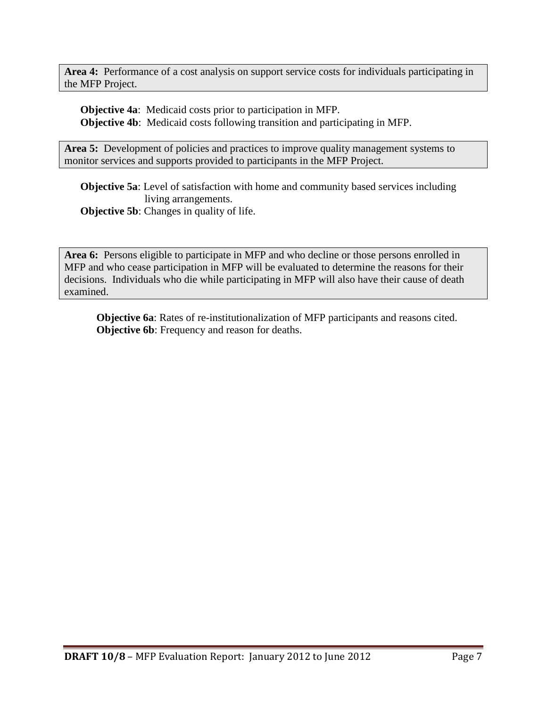**Area 4:** Performance of a cost analysis on support service costs for individuals participating in the MFP Project.

**Objective 4a**: Medicaid costs prior to participation in MFP. **Objective 4b**: Medicaid costs following transition and participating in MFP.

Area 5: Development of policies and practices to improve quality management systems to monitor services and supports provided to participants in the MFP Project.

**Objective 5a**: Level of satisfaction with home and community based services including living arrangements. **Objective 5b:** Changes in quality of life.

**Area 6:** Persons eligible to participate in MFP and who decline or those persons enrolled in MFP and who cease participation in MFP will be evaluated to determine the reasons for their decisions. Individuals who die while participating in MFP will also have their cause of death examined.

**Objective 6a**: Rates of re-institutionalization of MFP participants and reasons cited. **Objective 6b**: Frequency and reason for deaths.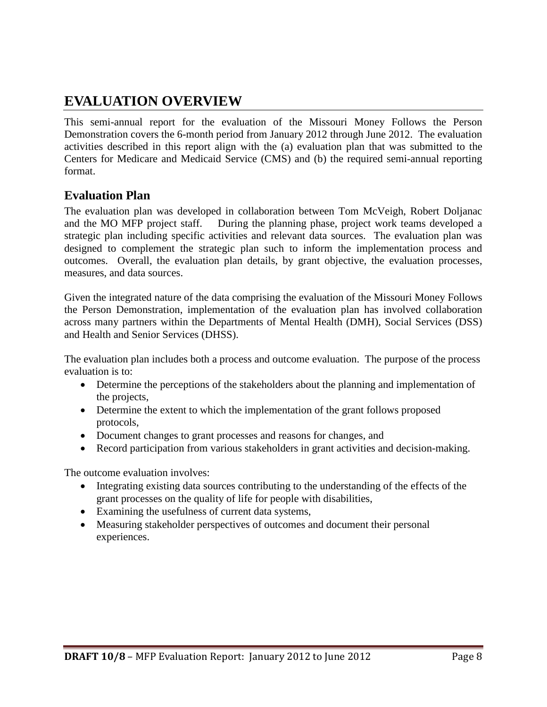## **EVALUATION OVERVIEW**

This semi-annual report for the evaluation of the Missouri Money Follows the Person Demonstration covers the 6-month period from January 2012 through June 2012. The evaluation activities described in this report align with the (a) evaluation plan that was submitted to the Centers for Medicare and Medicaid Service (CMS) and (b) the required semi-annual reporting format.

## **Evaluation Plan**

The evaluation plan was developed in collaboration between Tom McVeigh, Robert Doljanac and the MO MFP project staff. During the planning phase, project work teams developed a strategic plan including specific activities and relevant data sources. The evaluation plan was designed to complement the strategic plan such to inform the implementation process and outcomes. Overall, the evaluation plan details, by grant objective, the evaluation processes, measures, and data sources.

Given the integrated nature of the data comprising the evaluation of the Missouri Money Follows the Person Demonstration, implementation of the evaluation plan has involved collaboration across many partners within the Departments of Mental Health (DMH), Social Services (DSS) and Health and Senior Services (DHSS).

The evaluation plan includes both a process and outcome evaluation. The purpose of the process evaluation is to:

- Determine the perceptions of the stakeholders about the planning and implementation of the projects,
- Determine the extent to which the implementation of the grant follows proposed protocols,
- Document changes to grant processes and reasons for changes, and
- Record participation from various stakeholders in grant activities and decision-making.

The outcome evaluation involves:

- Integrating existing data sources contributing to the understanding of the effects of the grant processes on the quality of life for people with disabilities,
- Examining the usefulness of current data systems,
- Measuring stakeholder perspectives of outcomes and document their personal experiences.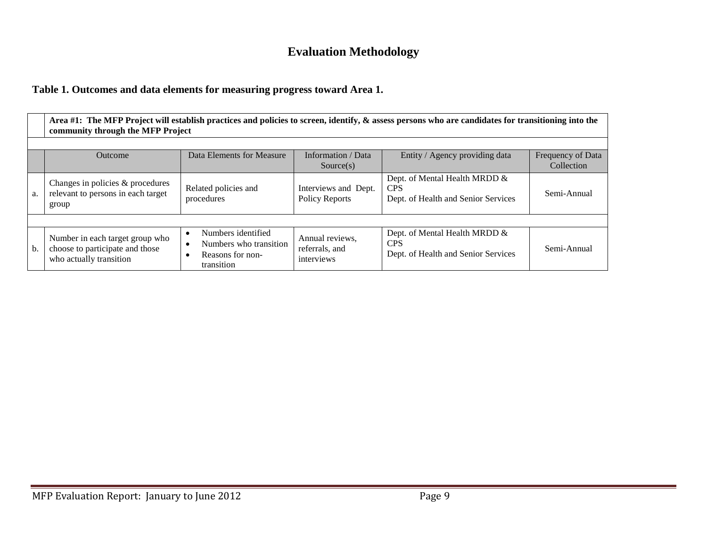## **Evaluation Methodology**

### **Table 1. Outcomes and data elements for measuring progress toward Area 1.**

|                                                                                                                                              | Area #1: The MFP Project will establish practices and policies to screen, identify, & assess persons who are candidates for transitioning into the<br>community through the MFP Project |                                                                                |                                                 |                                                                                    |             |  |  |
|----------------------------------------------------------------------------------------------------------------------------------------------|-----------------------------------------------------------------------------------------------------------------------------------------------------------------------------------------|--------------------------------------------------------------------------------|-------------------------------------------------|------------------------------------------------------------------------------------|-------------|--|--|
| Data Elements for Measure<br>Information / Data<br>Frequency of Data<br>Entity / Agency providing data<br>Outcome<br>Collection<br>Source(s) |                                                                                                                                                                                         |                                                                                |                                                 |                                                                                    |             |  |  |
| a.                                                                                                                                           | Changes in policies & procedures<br>relevant to persons in each target<br>group                                                                                                         | Related policies and<br>procedures                                             | Interviews and Dept.<br><b>Policy Reports</b>   | Dept. of Mental Health MRDD &<br><b>CPS</b><br>Dept. of Health and Senior Services | Semi-Annual |  |  |
|                                                                                                                                              |                                                                                                                                                                                         |                                                                                |                                                 |                                                                                    |             |  |  |
| b.                                                                                                                                           | Number in each target group who<br>choose to participate and those<br>who actually transition                                                                                           | Numbers identified<br>Numbers who transition<br>Reasons for non-<br>transition | Annual reviews,<br>referrals, and<br>interviews | Dept. of Mental Health MRDD &<br><b>CPS</b><br>Dept. of Health and Senior Services | Semi-Annual |  |  |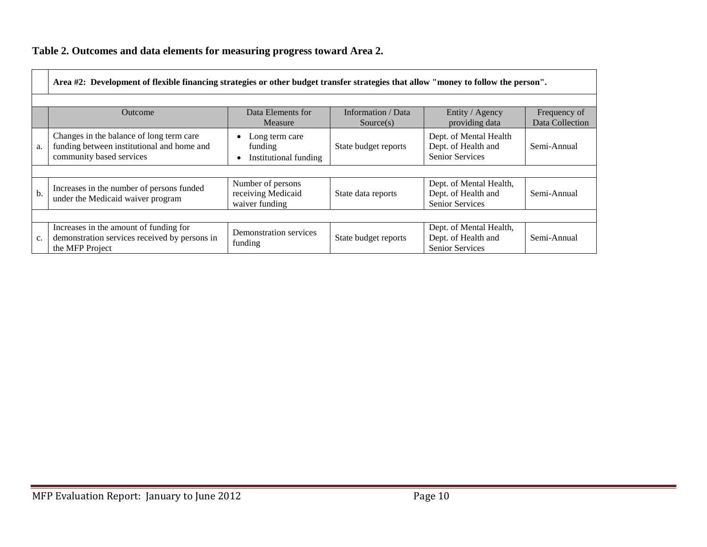## **Table 2. Outcomes and data elements for measuring progress toward Area 2.**

|               | Area #2: Development of flexible financing strategies or other budget transfer strategies that allow "money to follow the person".                        |                                                           |                      |                                                                          |             |  |  |  |
|---------------|-----------------------------------------------------------------------------------------------------------------------------------------------------------|-----------------------------------------------------------|----------------------|--------------------------------------------------------------------------|-------------|--|--|--|
|               | Data Elements for<br>Information / Data<br>Entity / Agency<br>Frequency of<br><b>Outcome</b><br>Data Collection<br>providing data<br>Measure<br>Source(s) |                                                           |                      |                                                                          |             |  |  |  |
| a.            | Changes in the balance of long term care<br>funding between institutional and home and<br>community based services                                        | Long term care<br>funding<br>Institutional funding        | State budget reports | Dept. of Mental Health<br>Dept. of Health and<br><b>Senior Services</b>  | Semi-Annual |  |  |  |
|               |                                                                                                                                                           |                                                           |                      |                                                                          |             |  |  |  |
| $\mathbf b$ . | Increases in the number of persons funded<br>under the Medicaid waiver program                                                                            | Number of persons<br>receiving Medicaid<br>waiver funding | State data reports   | Dept. of Mental Health,<br>Dept. of Health and<br>Senior Services        | Semi-Annual |  |  |  |
|               |                                                                                                                                                           |                                                           |                      |                                                                          |             |  |  |  |
| c.            | Increases in the amount of funding for<br>demonstration services received by persons in<br>the MFP Project                                                | Demonstration services<br>funding                         | State budget reports | Dept. of Mental Health,<br>Dept. of Health and<br><b>Senior Services</b> | Semi-Annual |  |  |  |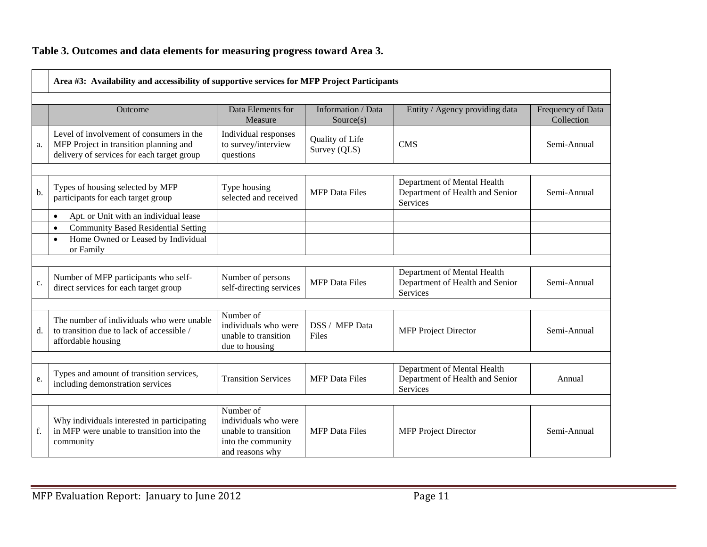## **Table 3. Outcomes and data elements for measuring progress toward Area 3.**

|    | Area #3: Availability and accessibility of supportive services for MFP Project Participants                                      |                                                                                                    |                                 |                                                                                   |                                 |  |  |
|----|----------------------------------------------------------------------------------------------------------------------------------|----------------------------------------------------------------------------------------------------|---------------------------------|-----------------------------------------------------------------------------------|---------------------------------|--|--|
|    | Outcome                                                                                                                          | Data Elements for<br>Measure                                                                       | Information / Data<br>Source(s) | Entity / Agency providing data                                                    | Frequency of Data<br>Collection |  |  |
| a. | Level of involvement of consumers in the<br>MFP Project in transition planning and<br>delivery of services for each target group | Individual responses<br>to survey/interview<br>questions                                           | Quality of Life<br>Survey (QLS) | <b>CMS</b>                                                                        | Semi-Annual                     |  |  |
|    |                                                                                                                                  |                                                                                                    |                                 |                                                                                   |                                 |  |  |
| b. | Types of housing selected by MFP<br>participants for each target group                                                           | Type housing<br>selected and received                                                              | <b>MFP</b> Data Files           | Department of Mental Health<br>Department of Health and Senior<br><b>Services</b> | Semi-Annual                     |  |  |
|    | Apt. or Unit with an individual lease<br>$\bullet$                                                                               |                                                                                                    |                                 |                                                                                   |                                 |  |  |
|    | <b>Community Based Residential Setting</b><br>$\bullet$                                                                          |                                                                                                    |                                 |                                                                                   |                                 |  |  |
|    | Home Owned or Leased by Individual<br>$\bullet$<br>or Family                                                                     |                                                                                                    |                                 |                                                                                   |                                 |  |  |
|    |                                                                                                                                  |                                                                                                    |                                 |                                                                                   |                                 |  |  |
| c. | Number of MFP participants who self-<br>direct services for each target group                                                    | Number of persons<br>self-directing services                                                       | <b>MFP</b> Data Files           | Department of Mental Health<br>Department of Health and Senior<br><b>Services</b> | Semi-Annual                     |  |  |
|    |                                                                                                                                  |                                                                                                    |                                 |                                                                                   |                                 |  |  |
| d. | The number of individuals who were unable<br>to transition due to lack of accessible /<br>affordable housing                     | Number of<br>individuals who were<br>unable to transition<br>due to housing                        | DSS / MFP Data<br>Files         | <b>MFP Project Director</b>                                                       | Semi-Annual                     |  |  |
|    |                                                                                                                                  |                                                                                                    |                                 |                                                                                   |                                 |  |  |
| e. | Types and amount of transition services,<br>including demonstration services                                                     | <b>Transition Services</b>                                                                         | <b>MFP</b> Data Files           | Department of Mental Health<br>Department of Health and Senior<br><b>Services</b> | Annual                          |  |  |
|    |                                                                                                                                  |                                                                                                    |                                 |                                                                                   |                                 |  |  |
| f. | Why individuals interested in participating<br>in MFP were unable to transition into the<br>community                            | Number of<br>individuals who were<br>unable to transition<br>into the community<br>and reasons why | <b>MFP</b> Data Files           | <b>MFP Project Director</b>                                                       | Semi-Annual                     |  |  |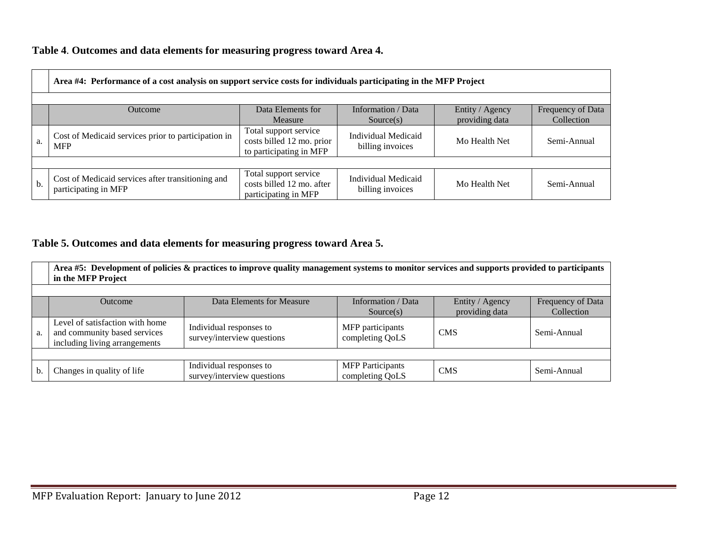### **Table 4**. **Outcomes and data elements for measuring progress toward Area 4.**

|     | Area #4: Performance of a cost analysis on support service costs for individuals participating in the MFP Project |                                                                               |                                                |                |                                 |  |  |  |  |
|-----|-------------------------------------------------------------------------------------------------------------------|-------------------------------------------------------------------------------|------------------------------------------------|----------------|---------------------------------|--|--|--|--|
|     | Information / Data<br>Data Elements for<br>Entity / Agency<br>Outcome                                             |                                                                               |                                                |                |                                 |  |  |  |  |
|     |                                                                                                                   | Measure                                                                       | Source(s)                                      | providing data | Frequency of Data<br>Collection |  |  |  |  |
| a.  | Cost of Medicaid services prior to participation in<br><b>MFP</b>                                                 | Total support service<br>costs billed 12 mo. prior<br>to participating in MFP | <b>Individual Medicaid</b><br>billing invoices | Mo Health Net  | Semi-Annual                     |  |  |  |  |
|     |                                                                                                                   |                                                                               |                                                |                |                                 |  |  |  |  |
| $b$ | Cost of Medicaid services after transitioning and<br>participating in MFP                                         | Total support service<br>costs billed 12 mo. after<br>participating in MFP    | Individual Medicaid<br>billing invoices        | Mo Health Net  | Semi-Annual                     |  |  |  |  |

### **Table 5. Outcomes and data elements for measuring progress toward Area 5.**

|    | Area #5: Development of policies & practices to improve quality management systems to monitor services and supports provided to participants<br>in the MFP Project |                                                       |                                            |            |             |  |  |  |
|----|--------------------------------------------------------------------------------------------------------------------------------------------------------------------|-------------------------------------------------------|--------------------------------------------|------------|-------------|--|--|--|
|    | Information / Data<br>Entity / Agency<br>Data Elements for Measure<br>Frequency of Data<br><b>Outcome</b><br>providing data<br>Collection<br>Source(s)             |                                                       |                                            |            |             |  |  |  |
| a. | Level of satisfaction with home<br>and community based services<br>including living arrangements                                                                   | Individual responses to<br>survey/interview questions | MFP participants<br>completing QoLS        | <b>CMS</b> | Semi-Annual |  |  |  |
|    |                                                                                                                                                                    |                                                       |                                            |            |             |  |  |  |
| b. | Changes in quality of life                                                                                                                                         | Individual responses to<br>survey/interview questions | <b>MFP</b> Participants<br>completing QoLS | <b>CMS</b> | Semi-Annual |  |  |  |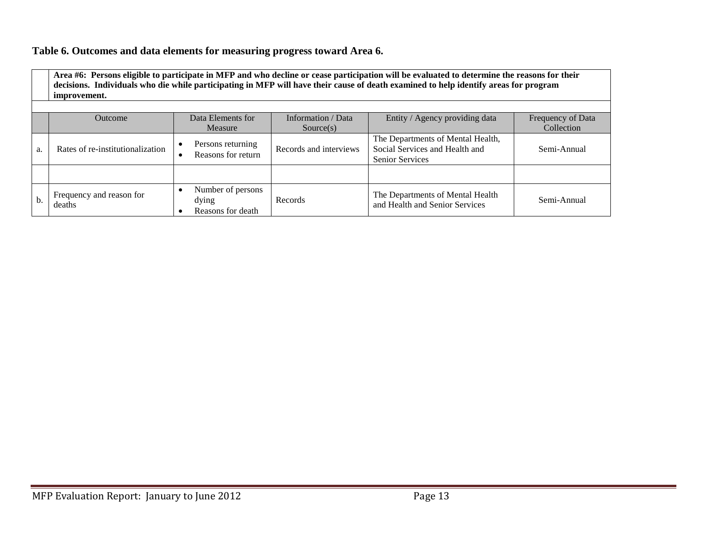#### **Table 6. Outcomes and data elements for measuring progress toward Area 6.**

**Area #6: Persons eligible to participate in MFP and who decline or cease participation will be evaluated to determine the reasons for their decisions. Individuals who die while participating in MFP will have their cause of death examined to help identify areas for program improvement.** 

|    | <b>Outcome</b>                     | Data Elements for                               | Information / Data     | Entity / Agency providing data                                                                | Frequency of Data |
|----|------------------------------------|-------------------------------------------------|------------------------|-----------------------------------------------------------------------------------------------|-------------------|
|    |                                    | Measure                                         | Source(s)              |                                                                                               | Collection        |
| a. | Rates of re-institutionalization   | Persons returning<br>Reasons for return         | Records and interviews | The Departments of Mental Health,<br>Social Services and Health and<br><b>Senior Services</b> | Semi-Annual       |
|    |                                    |                                                 |                        |                                                                                               |                   |
| b. | Frequency and reason for<br>deaths | Number of persons<br>dying<br>Reasons for death | Records                | The Departments of Mental Health<br>and Health and Senior Services                            | Semi-Annual       |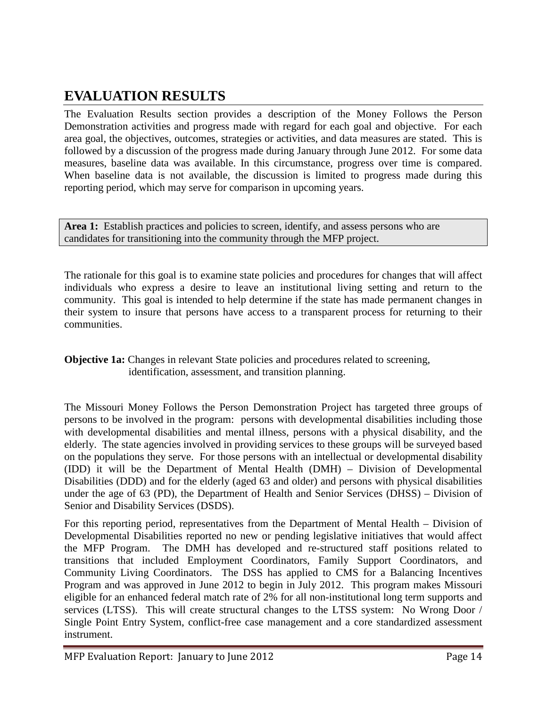## **EVALUATION RESULTS**

The Evaluation Results section provides a description of the Money Follows the Person Demonstration activities and progress made with regard for each goal and objective. For each area goal, the objectives, outcomes, strategies or activities, and data measures are stated. This is followed by a discussion of the progress made during January through June 2012. For some data measures, baseline data was available. In this circumstance, progress over time is compared. When baseline data is not available, the discussion is limited to progress made during this reporting period, which may serve for comparison in upcoming years.

Area 1: Establish practices and policies to screen, identify, and assess persons who are candidates for transitioning into the community through the MFP project.

The rationale for this goal is to examine state policies and procedures for changes that will affect individuals who express a desire to leave an institutional living setting and return to the community. This goal is intended to help determine if the state has made permanent changes in their system to insure that persons have access to a transparent process for returning to their communities.

**Objective 1a:** Changes in relevant State policies and procedures related to screening, identification, assessment, and transition planning.

The Missouri Money Follows the Person Demonstration Project has targeted three groups of persons to be involved in the program: persons with developmental disabilities including those with developmental disabilities and mental illness, persons with a physical disability, and the elderly. The state agencies involved in providing services to these groups will be surveyed based on the populations they serve. For those persons with an intellectual or developmental disability (IDD) it will be the Department of Mental Health (DMH) – Division of Developmental Disabilities (DDD) and for the elderly (aged 63 and older) and persons with physical disabilities under the age of 63 (PD), the Department of Health and Senior Services (DHSS) – Division of Senior and Disability Services (DSDS).

For this reporting period, representatives from the Department of Mental Health – Division of Developmental Disabilities reported no new or pending legislative initiatives that would affect the MFP Program. The DMH has developed and re-structured staff positions related to transitions that included Employment Coordinators, Family Support Coordinators, and Community Living Coordinators. The DSS has applied to CMS for a Balancing Incentives Program and was approved in June 2012 to begin in July 2012. This program makes Missouri eligible for an enhanced federal match rate of 2% for all non-institutional long term supports and services (LTSS). This will create structural changes to the LTSS system: No Wrong Door / Single Point Entry System, conflict-free case management and a core standardized assessment instrument.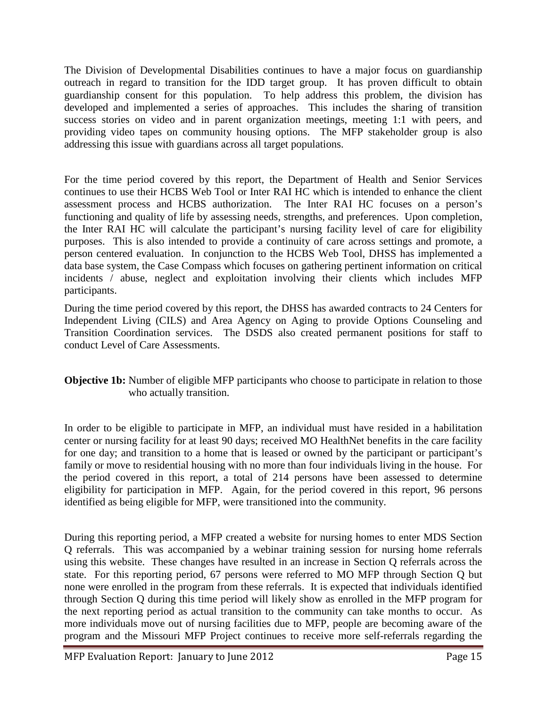The Division of Developmental Disabilities continues to have a major focus on guardianship outreach in regard to transition for the IDD target group. It has proven difficult to obtain guardianship consent for this population. To help address this problem, the division has developed and implemented a series of approaches. This includes the sharing of transition success stories on video and in parent organization meetings, meeting 1:1 with peers, and providing video tapes on community housing options. The MFP stakeholder group is also addressing this issue with guardians across all target populations.

For the time period covered by this report, the Department of Health and Senior Services continues to use their HCBS Web Tool or Inter RAI HC which is intended to enhance the client assessment process and HCBS authorization. The Inter RAI HC focuses on a person's functioning and quality of life by assessing needs, strengths, and preferences. Upon completion, the Inter RAI HC will calculate the participant's nursing facility level of care for eligibility purposes. This is also intended to provide a continuity of care across settings and promote, a person centered evaluation. In conjunction to the HCBS Web Tool, DHSS has implemented a data base system, the Case Compass which focuses on gathering pertinent information on critical incidents / abuse, neglect and exploitation involving their clients which includes MFP participants.

During the time period covered by this report, the DHSS has awarded contracts to 24 Centers for Independent Living (CILS) and Area Agency on Aging to provide Options Counseling and Transition Coordination services. The DSDS also created permanent positions for staff to conduct Level of Care Assessments.

#### **Objective 1b:** Number of eligible MFP participants who choose to participate in relation to those who actually transition.

In order to be eligible to participate in MFP, an individual must have resided in a habilitation center or nursing facility for at least 90 days; received MO HealthNet benefits in the care facility for one day; and transition to a home that is leased or owned by the participant or participant's family or move to residential housing with no more than four individuals living in the house. For the period covered in this report, a total of 214 persons have been assessed to determine eligibility for participation in MFP. Again, for the period covered in this report, 96 persons identified as being eligible for MFP, were transitioned into the community.

During this reporting period, a MFP created a website for nursing homes to enter MDS Section Q referrals. This was accompanied by a webinar training session for nursing home referrals using this website. These changes have resulted in an increase in Section Q referrals across the state. For this reporting period, 67 persons were referred to MO MFP through Section Q but none were enrolled in the program from these referrals. It is expected that individuals identified through Section Q during this time period will likely show as enrolled in the MFP program for the next reporting period as actual transition to the community can take months to occur. As more individuals move out of nursing facilities due to MFP, people are becoming aware of the program and the Missouri MFP Project continues to receive more self-referrals regarding the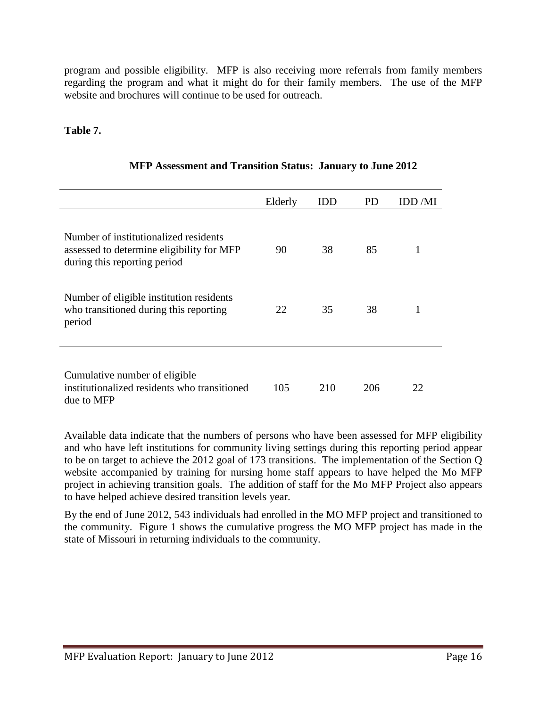program and possible eligibility. MFP is also receiving more referrals from family members regarding the program and what it might do for their family members. The use of the MFP website and brochures will continue to be used for outreach.

#### **Table 7.**

|                                                                                                                    | Elderly | IDD | PD  | IDD /MI |
|--------------------------------------------------------------------------------------------------------------------|---------|-----|-----|---------|
| Number of institutionalized residents<br>assessed to determine eligibility for MFP<br>during this reporting period | 90      | 38  | 85  | 1       |
| Number of eligible institution residents<br>who transitioned during this reporting<br>period                       | 22      | 35  | 38  | 1       |
| Cumulative number of eligible<br>institutionalized residents who transitioned<br>due to MFP                        | 105     | 210 | 206 | 22      |

#### **MFP Assessment and Transition Status: January to June 2012**

Available data indicate that the numbers of persons who have been assessed for MFP eligibility and who have left institutions for community living settings during this reporting period appear to be on target to achieve the 2012 goal of 173 transitions. The implementation of the Section Q website accompanied by training for nursing home staff appears to have helped the Mo MFP project in achieving transition goals. The addition of staff for the Mo MFP Project also appears to have helped achieve desired transition levels year.

By the end of June 2012, 543 individuals had enrolled in the MO MFP project and transitioned to the community. Figure 1 shows the cumulative progress the MO MFP project has made in the state of Missouri in returning individuals to the community.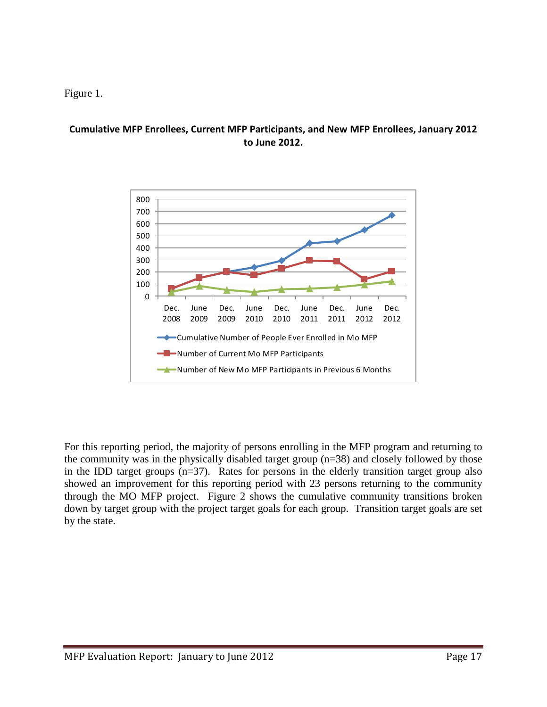#### Figure 1.

#### **Cumulative MFP Enrollees, Current MFP Participants, and New MFP Enrollees, January 2012 to June 2012.**



For this reporting period, the majority of persons enrolling in the MFP program and returning to the community was in the physically disabled target group (n=38) and closely followed by those in the IDD target groups  $(n=37)$ . Rates for persons in the elderly transition target group also showed an improvement for this reporting period with 23 persons returning to the community through the MO MFP project. Figure 2 shows the cumulative community transitions broken down by target group with the project target goals for each group. Transition target goals are set by the state.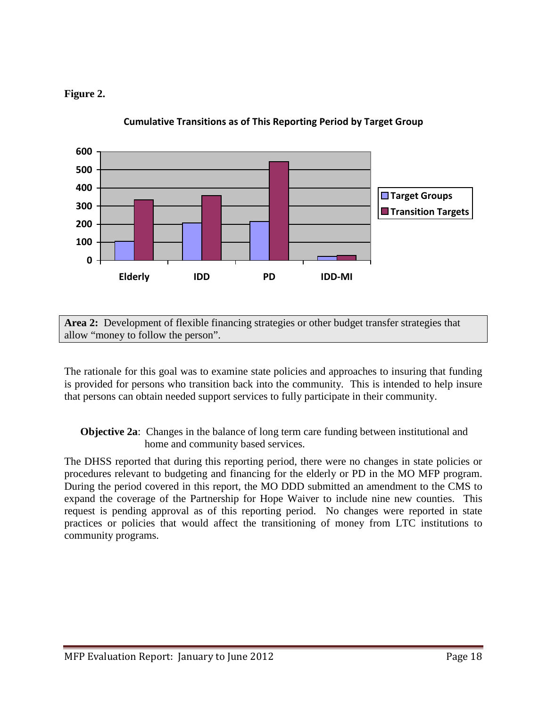### **Figure 2.**



**Cumulative Transitions as of This Reporting Period by Target Group**

**Area 2:** Development of flexible financing strategies or other budget transfer strategies that allow "money to follow the person".

The rationale for this goal was to examine state policies and approaches to insuring that funding is provided for persons who transition back into the community. This is intended to help insure that persons can obtain needed support services to fully participate in their community.

**Objective 2a:** Changes in the balance of long term care funding between institutional and home and community based services.

The DHSS reported that during this reporting period, there were no changes in state policies or procedures relevant to budgeting and financing for the elderly or PD in the MO MFP program. During the period covered in this report, the MO DDD submitted an amendment to the CMS to expand the coverage of the Partnership for Hope Waiver to include nine new counties. This request is pending approval as of this reporting period. No changes were reported in state practices or policies that would affect the transitioning of money from LTC institutions to community programs.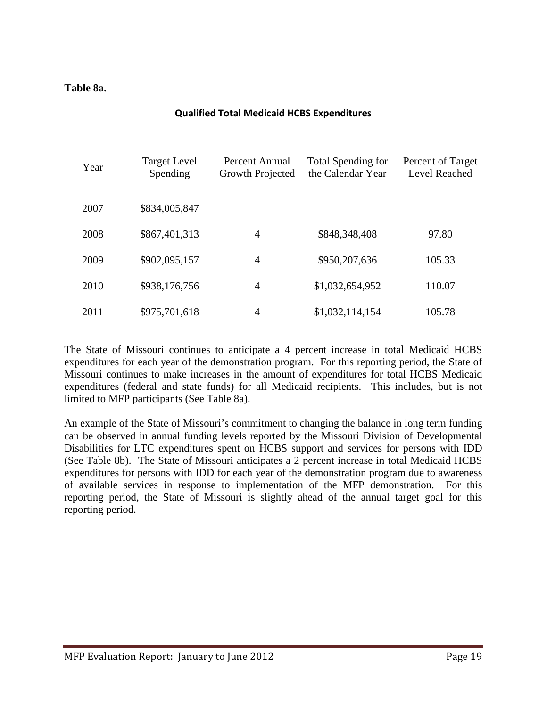#### **Table 8a.**

| Year | <b>Target Level</b><br>Spending | Percent Annual<br>Growth Projected | <b>Total Spending for</b><br>the Calendar Year | Percent of Target<br>Level Reached |
|------|---------------------------------|------------------------------------|------------------------------------------------|------------------------------------|
| 2007 | \$834,005,847                   |                                    |                                                |                                    |
| 2008 | \$867,401,313                   | 4                                  | \$848,348,408                                  | 97.80                              |
| 2009 | \$902,095,157                   | $\overline{4}$                     | \$950,207,636                                  | 105.33                             |
| 2010 | \$938,176,756                   | $\overline{4}$                     | \$1,032,654,952                                | 110.07                             |
| 2011 | \$975,701,618                   | 4                                  | \$1,032,114,154                                | 105.78                             |

#### **Qualified Total Medicaid HCBS Expenditures**

The State of Missouri continues to anticipate a 4 percent increase in total Medicaid HCBS expenditures for each year of the demonstration program. For this reporting period, the State of Missouri continues to make increases in the amount of expenditures for total HCBS Medicaid expenditures (federal and state funds) for all Medicaid recipients. This includes, but is not limited to MFP participants (See Table 8a).

An example of the State of Missouri's commitment to changing the balance in long term funding can be observed in annual funding levels reported by the Missouri Division of Developmental Disabilities for LTC expenditures spent on HCBS support and services for persons with IDD (See Table 8b). The State of Missouri anticipates a 2 percent increase in total Medicaid HCBS expenditures for persons with IDD for each year of the demonstration program due to awareness of available services in response to implementation of the MFP demonstration. For this reporting period, the State of Missouri is slightly ahead of the annual target goal for this reporting period.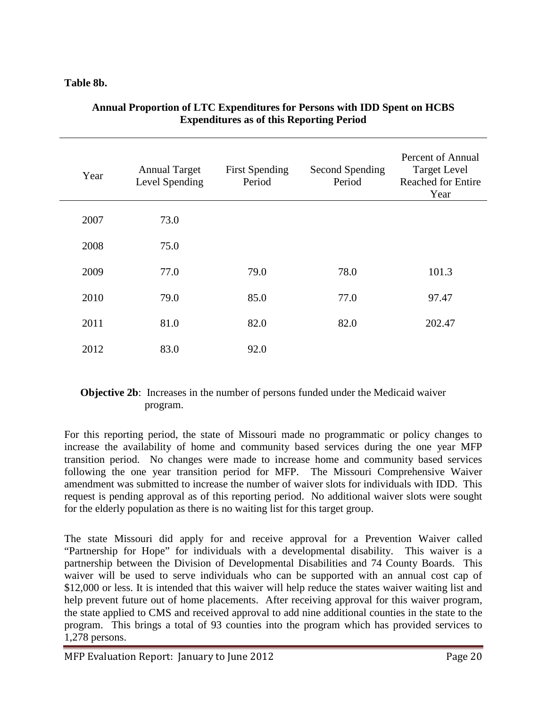#### **Table 8b.**

| Year | <b>Annual Target</b><br>Level Spending | <b>First Spending</b><br>Period | Second Spending<br>Period | Percent of Annual<br><b>Target Level</b><br><b>Reached for Entire</b><br>Year |
|------|----------------------------------------|---------------------------------|---------------------------|-------------------------------------------------------------------------------|
| 2007 | 73.0                                   |                                 |                           |                                                                               |
| 2008 | 75.0                                   |                                 |                           |                                                                               |
| 2009 | 77.0                                   | 79.0                            | 78.0                      | 101.3                                                                         |
| 2010 | 79.0                                   | 85.0                            | 77.0                      | 97.47                                                                         |
| 2011 | 81.0                                   | 82.0                            | 82.0                      | 202.47                                                                        |
| 2012 | 83.0                                   | 92.0                            |                           |                                                                               |

#### **Annual Proportion of LTC Expenditures for Persons with IDD Spent on HCBS Expenditures as of this Reporting Period**

### **Objective 2b:** Increases in the number of persons funded under the Medicaid waiver program.

For this reporting period, the state of Missouri made no programmatic or policy changes to increase the availability of home and community based services during the one year MFP transition period. No changes were made to increase home and community based services following the one year transition period for MFP. The Missouri Comprehensive Waiver amendment was submitted to increase the number of waiver slots for individuals with IDD. This request is pending approval as of this reporting period. No additional waiver slots were sought for the elderly population as there is no waiting list for this target group.

The state Missouri did apply for and receive approval for a Prevention Waiver called "Partnership for Hope" for individuals with a developmental disability. This waiver is a partnership between the Division of Developmental Disabilities and 74 County Boards. This waiver will be used to serve individuals who can be supported with an annual cost cap of \$12,000 or less. It is intended that this waiver will help reduce the states waiver waiting list and help prevent future out of home placements. After receiving approval for this waiver program, the state applied to CMS and received approval to add nine additional counties in the state to the program. This brings a total of 93 counties into the program which has provided services to 1,278 persons.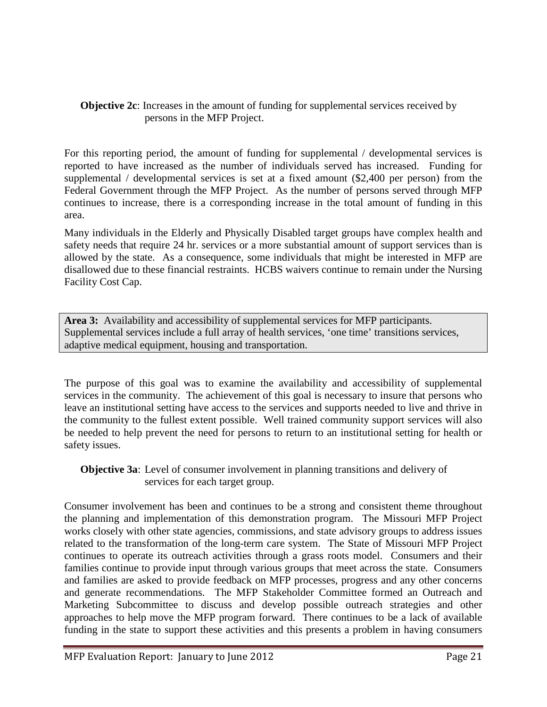#### **Objective 2c**: Increases in the amount of funding for supplemental services received by persons in the MFP Project.

For this reporting period, the amount of funding for supplemental / developmental services is reported to have increased as the number of individuals served has increased. Funding for supplemental / developmental services is set at a fixed amount (\$2,400 per person) from the Federal Government through the MFP Project. As the number of persons served through MFP continues to increase, there is a corresponding increase in the total amount of funding in this area.

Many individuals in the Elderly and Physically Disabled target groups have complex health and safety needs that require 24 hr. services or a more substantial amount of support services than is allowed by the state. As a consequence, some individuals that might be interested in MFP are disallowed due to these financial restraints. HCBS waivers continue to remain under the Nursing Facility Cost Cap.

**Area 3:** Availability and accessibility of supplemental services for MFP participants. Supplemental services include a full array of health services, 'one time' transitions services, adaptive medical equipment, housing and transportation.

The purpose of this goal was to examine the availability and accessibility of supplemental services in the community. The achievement of this goal is necessary to insure that persons who leave an institutional setting have access to the services and supports needed to live and thrive in the community to the fullest extent possible. Well trained community support services will also be needed to help prevent the need for persons to return to an institutional setting for health or safety issues.

**Objective 3a**: Level of consumer involvement in planning transitions and delivery of services for each target group.

Consumer involvement has been and continues to be a strong and consistent theme throughout the planning and implementation of this demonstration program. The Missouri MFP Project works closely with other state agencies, commissions, and state advisory groups to address issues related to the transformation of the long-term care system. The State of Missouri MFP Project continues to operate its outreach activities through a grass roots model. Consumers and their families continue to provide input through various groups that meet across the state. Consumers and families are asked to provide feedback on MFP processes, progress and any other concerns and generate recommendations. The MFP Stakeholder Committee formed an Outreach and Marketing Subcommittee to discuss and develop possible outreach strategies and other approaches to help move the MFP program forward. There continues to be a lack of available funding in the state to support these activities and this presents a problem in having consumers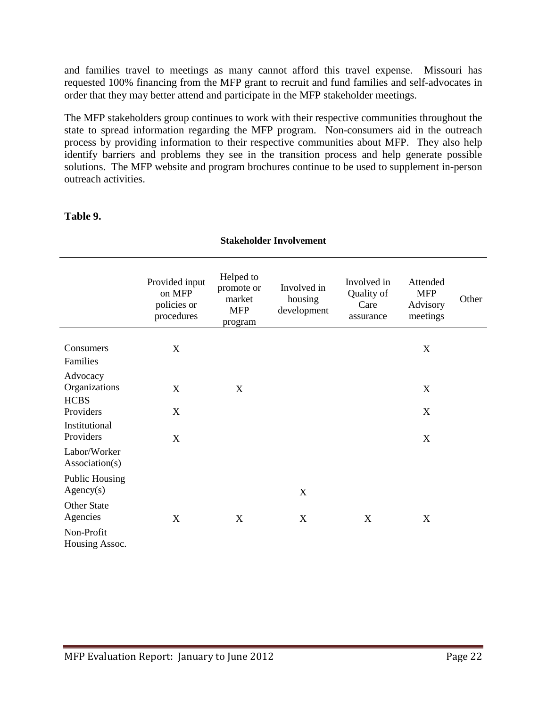and families travel to meetings as many cannot afford this travel expense. Missouri has requested 100% financing from the MFP grant to recruit and fund families and self-advocates in order that they may better attend and participate in the MFP stakeholder meetings.

The MFP stakeholders group continues to work with their respective communities throughout the state to spread information regarding the MFP program. Non-consumers aid in the outreach process by providing information to their respective communities about MFP. They also help identify barriers and problems they see in the transition process and help generate possible solutions. The MFP website and program brochures continue to be used to supplement in-person outreach activities.

| <b>Stakeholder Involvement</b>           |                                                       |                                                            |                                       |                                                |                                                |       |
|------------------------------------------|-------------------------------------------------------|------------------------------------------------------------|---------------------------------------|------------------------------------------------|------------------------------------------------|-------|
|                                          | Provided input<br>on MFP<br>policies or<br>procedures | Helped to<br>promote or<br>market<br><b>MFP</b><br>program | Involved in<br>housing<br>development | Involved in<br>Quality of<br>Care<br>assurance | Attended<br><b>MFP</b><br>Advisory<br>meetings | Other |
| Consumers<br>Families                    | X                                                     |                                                            |                                       |                                                | X                                              |       |
| Advocacy<br>Organizations<br><b>HCBS</b> | X                                                     | X                                                          |                                       |                                                | X                                              |       |
| Providers                                | $\mathbf X$                                           |                                                            |                                       |                                                | X                                              |       |
| Institutional<br>Providers               | $\mathbf X$                                           |                                                            |                                       |                                                | X                                              |       |
| Labor/Worker<br>Association(s)           |                                                       |                                                            |                                       |                                                |                                                |       |
| <b>Public Housing</b><br>Agency(s)       |                                                       |                                                            | $\mathbf X$                           |                                                |                                                |       |
| <b>Other State</b><br>Agencies           | X                                                     | X                                                          | $\boldsymbol{X}$                      | X                                              | X                                              |       |
| Non-Profit<br>Housing Assoc.             |                                                       |                                                            |                                       |                                                |                                                |       |

#### **Table 9.**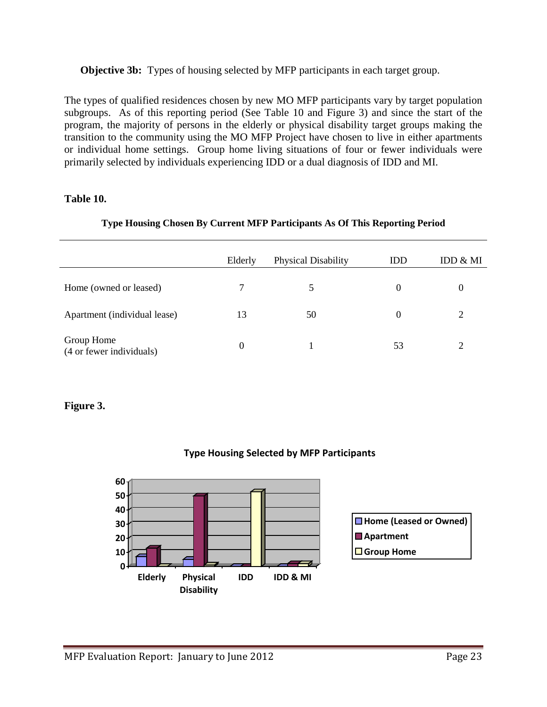#### **Objective 3b:** Types of housing selected by MFP participants in each target group.

The types of qualified residences chosen by new MO MFP participants vary by target population subgroups. As of this reporting period (See Table 10 and Figure 3) and since the start of the program, the majority of persons in the elderly or physical disability target groups making the transition to the community using the MO MFP Project have chosen to live in either apartments or individual home settings. Group home living situations of four or fewer individuals were primarily selected by individuals experiencing IDD or a dual diagnosis of IDD and MI.

#### **Table 10.**

#### **Type Housing Chosen By Current MFP Participants As Of This Reporting Period**

|                                        | Elderly  | <b>Physical Disability</b> | <b>IDD</b> | IDD & MI |
|----------------------------------------|----------|----------------------------|------------|----------|
| Home (owned or leased)                 | 7        | 5                          | $\theta$   | 0        |
| Apartment (individual lease)           | 13       | 50                         | 0          |          |
| Group Home<br>(4 or fewer individuals) | $\Omega$ |                            | 53         |          |

#### **Figure 3.**



## **Type Housing Selected by MFP Participants**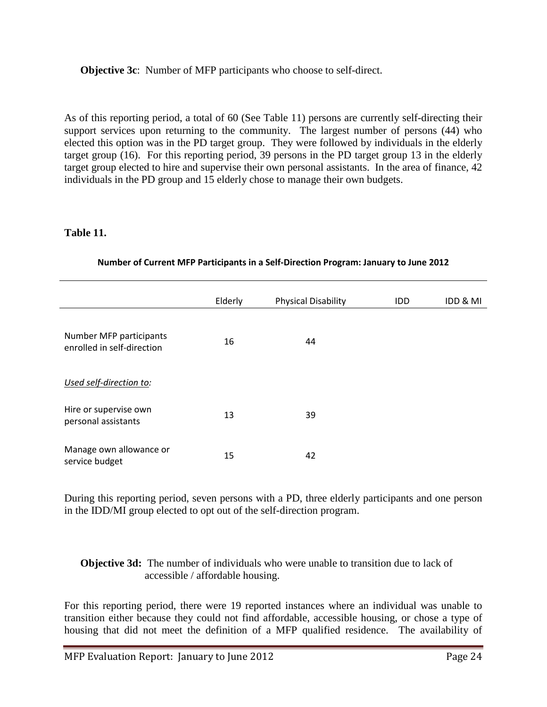**Objective 3c**: Number of MFP participants who choose to self-direct.

As of this reporting period, a total of 60 (See Table 11) persons are currently self-directing their support services upon returning to the community. The largest number of persons  $(44)$  who elected this option was in the PD target group. They were followed by individuals in the elderly target group (16). For this reporting period, 39 persons in the PD target group 13 in the elderly target group elected to hire and supervise their own personal assistants. In the area of finance, 42 individuals in the PD group and 15 elderly chose to manage their own budgets.

#### **Table 11.**

|                                                       | Elderly | <b>Physical Disability</b> | IDD | IDD & MI |
|-------------------------------------------------------|---------|----------------------------|-----|----------|
|                                                       |         |                            |     |          |
| Number MFP participants<br>enrolled in self-direction | 16      | 44                         |     |          |
| Used self-direction to:                               |         |                            |     |          |
| Hire or supervise own<br>personal assistants          | 13      | 39                         |     |          |
| Manage own allowance or<br>service budget             | 15      | 42                         |     |          |

#### **Number of Current MFP Participants in a Self-Direction Program: January to June 2012**

During this reporting period, seven persons with a PD, three elderly participants and one person in the IDD/MI group elected to opt out of the self-direction program.

#### **Objective 3d:** The number of individuals who were unable to transition due to lack of accessible / affordable housing.

For this reporting period, there were 19 reported instances where an individual was unable to transition either because they could not find affordable, accessible housing, or chose a type of housing that did not meet the definition of a MFP qualified residence. The availability of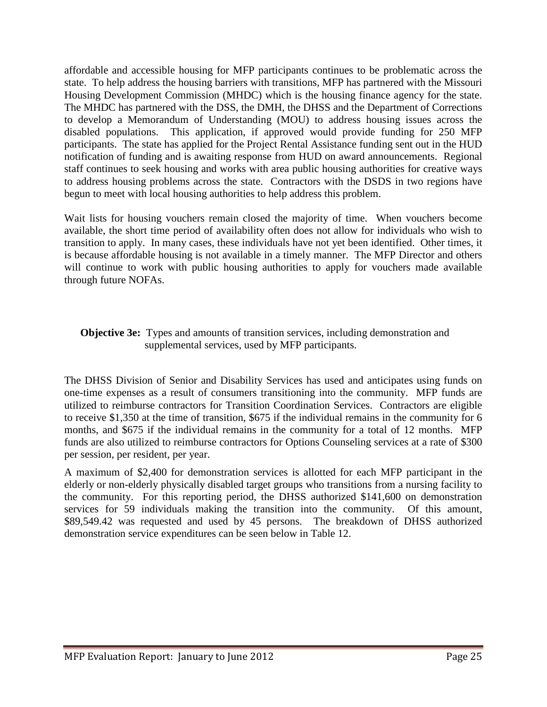affordable and accessible housing for MFP participants continues to be problematic across the state. To help address the housing barriers with transitions, MFP has partnered with the Missouri Housing Development Commission (MHDC) which is the housing finance agency for the state. The MHDC has partnered with the DSS, the DMH, the DHSS and the Department of Corrections to develop a Memorandum of Understanding (MOU) to address housing issues across the disabled populations. This application, if approved would provide funding for 250 MFP participants. The state has applied for the Project Rental Assistance funding sent out in the HUD notification of funding and is awaiting response from HUD on award announcements. Regional staff continues to seek housing and works with area public housing authorities for creative ways to address housing problems across the state. Contractors with the DSDS in two regions have begun to meet with local housing authorities to help address this problem.

Wait lists for housing vouchers remain closed the majority of time. When vouchers become available, the short time period of availability often does not allow for individuals who wish to transition to apply. In many cases, these individuals have not yet been identified. Other times, it is because affordable housing is not available in a timely manner. The MFP Director and others will continue to work with public housing authorities to apply for vouchers made available through future NOFAs.

#### **Objective 3e:** Types and amounts of transition services, including demonstration and supplemental services, used by MFP participants.

The DHSS Division of Senior and Disability Services has used and anticipates using funds on one-time expenses as a result of consumers transitioning into the community. MFP funds are utilized to reimburse contractors for Transition Coordination Services. Contractors are eligible to receive \$1,350 at the time of transition, \$675 if the individual remains in the community for 6 months, and \$675 if the individual remains in the community for a total of 12 months. MFP funds are also utilized to reimburse contractors for Options Counseling services at a rate of \$300 per session, per resident, per year.

A maximum of \$2,400 for demonstration services is allotted for each MFP participant in the elderly or non-elderly physically disabled target groups who transitions from a nursing facility to the community. For this reporting period, the DHSS authorized \$141,600 on demonstration services for 59 individuals making the transition into the community. Of this amount, \$89,549.42 was requested and used by 45 persons. The breakdown of DHSS authorized demonstration service expenditures can be seen below in Table 12.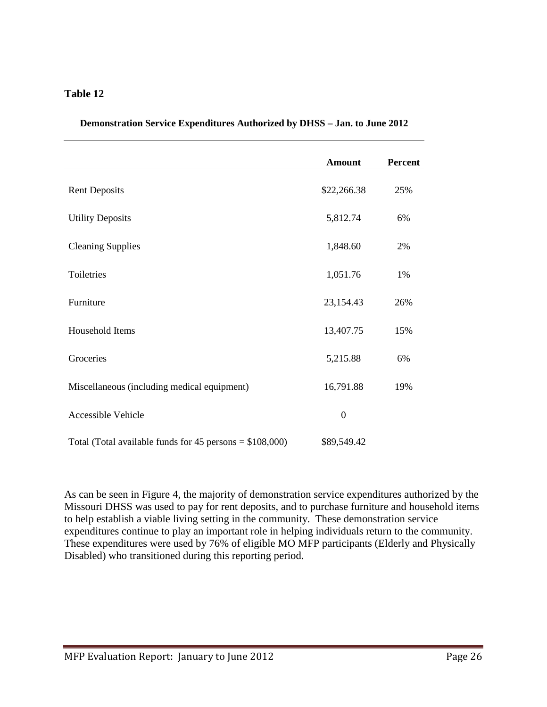#### **Table 12**

|                                                            | <b>Amount</b> | <b>Percent</b> |
|------------------------------------------------------------|---------------|----------------|
| <b>Rent Deposits</b>                                       | \$22,266.38   | 25%            |
| <b>Utility Deposits</b>                                    | 5,812.74      | 6%             |
| <b>Cleaning Supplies</b>                                   | 1,848.60      | 2%             |
| Toiletries                                                 | 1,051.76      | 1%             |
| Furniture                                                  | 23,154.43     | 26%            |
| Household Items                                            | 13,407.75     | 15%            |
| Groceries                                                  | 5,215.88      | 6%             |
| Miscellaneous (including medical equipment)                | 16,791.88     | 19%            |
| <b>Accessible Vehicle</b>                                  | $\mathbf{0}$  |                |
| Total (Total available funds for $45$ persons = \$108,000) | \$89,549.42   |                |

#### **Demonstration Service Expenditures Authorized by DHSS – Jan. to June 2012**

As can be seen in Figure 4, the majority of demonstration service expenditures authorized by the Missouri DHSS was used to pay for rent deposits, and to purchase furniture and household items to help establish a viable living setting in the community. These demonstration service expenditures continue to play an important role in helping individuals return to the community. These expenditures were used by 76% of eligible MO MFP participants (Elderly and Physically Disabled) who transitioned during this reporting period.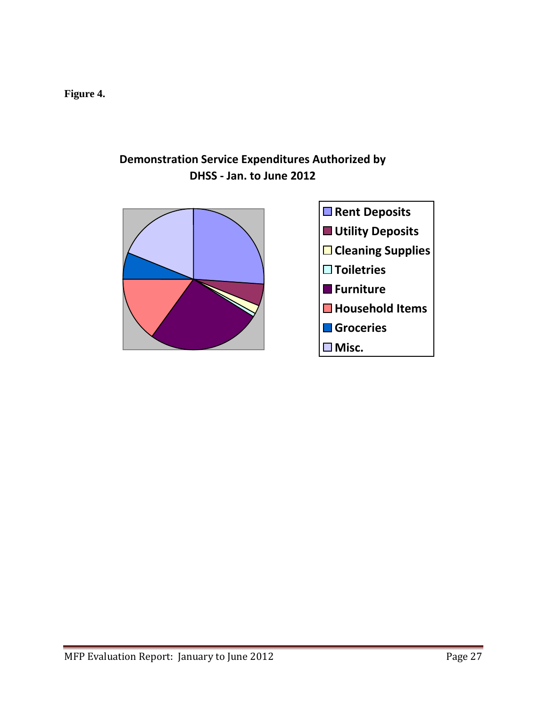**Figure 4.**

## **Demonstration Service Expenditures Authorized by DHSS - Jan. to June 2012**

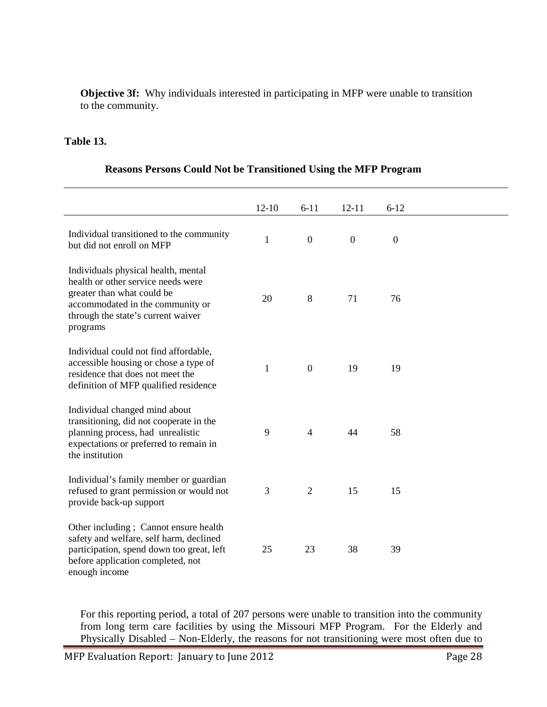**Objective 3f:** Why individuals interested in participating in MFP were unable to transition to the community.

#### **Table 13.**

|                                                                                                                                                                                               | $12 - 10$    | $6 - 11$         | $12 - 11$      | $6 - 12$     |  |
|-----------------------------------------------------------------------------------------------------------------------------------------------------------------------------------------------|--------------|------------------|----------------|--------------|--|
| Individual transitioned to the community<br>but did not enroll on MFP                                                                                                                         | $\mathbf{1}$ | $\boldsymbol{0}$ | $\overline{0}$ | $\mathbf{0}$ |  |
| Individuals physical health, mental<br>health or other service needs were<br>greater than what could be<br>accommodated in the community or<br>through the state's current waiver<br>programs | 20           | 8                | 71             | 76           |  |
| Individual could not find affordable,<br>accessible housing or chose a type of<br>residence that does not meet the<br>definition of MFP qualified residence                                   | $\mathbf{1}$ | $\mathbf{0}$     | 19             | 19           |  |
| Individual changed mind about<br>transitioning, did not cooperate in the<br>planning process, had unrealistic<br>expectations or preferred to remain in<br>the institution                    | 9            | $\overline{4}$   | 44             | 58           |  |
| Individual's family member or guardian<br>refused to grant permission or would not<br>provide back-up support                                                                                 | 3            | $\overline{2}$   | 15             | 15           |  |
| Other including; Cannot ensure health<br>safety and welfare, self harm, declined<br>participation, spend down too great, left<br>before application completed, not<br>enough income           | 25           | 23               | 38             | 39           |  |

#### **Reasons Persons Could Not be Transitioned Using the MFP Program**

For this reporting period, a total of 207 persons were unable to transition into the community from long term care facilities by using the Missouri MFP Program. For the Elderly and Physically Disabled – Non-Elderly, the reasons for not transitioning were most often due to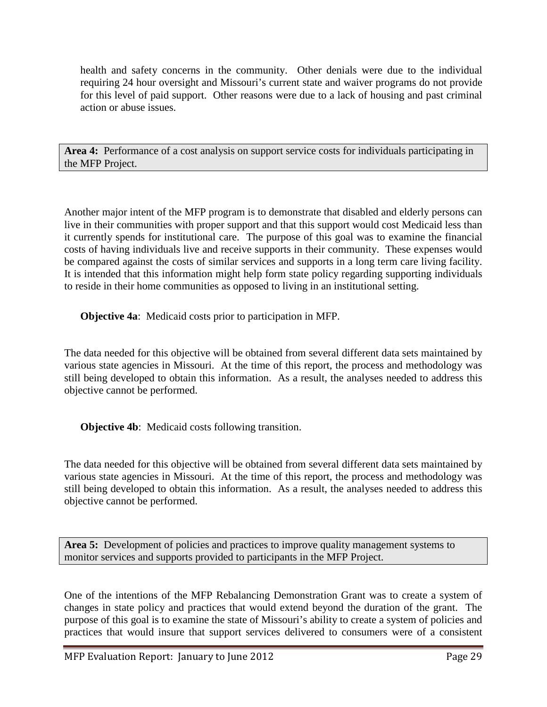health and safety concerns in the community. Other denials were due to the individual requiring 24 hour oversight and Missouri's current state and waiver programs do not provide for this level of paid support. Other reasons were due to a lack of housing and past criminal action or abuse issues.

**Area 4:** Performance of a cost analysis on support service costs for individuals participating in the MFP Project.

Another major intent of the MFP program is to demonstrate that disabled and elderly persons can live in their communities with proper support and that this support would cost Medicaid less than it currently spends for institutional care. The purpose of this goal was to examine the financial costs of having individuals live and receive supports in their community. These expenses would be compared against the costs of similar services and supports in a long term care living facility. It is intended that this information might help form state policy regarding supporting individuals to reside in their home communities as opposed to living in an institutional setting.

**Objective 4a**: Medicaid costs prior to participation in MFP.

The data needed for this objective will be obtained from several different data sets maintained by various state agencies in Missouri. At the time of this report, the process and methodology was still being developed to obtain this information. As a result, the analyses needed to address this objective cannot be performed.

**Objective 4b**: Medicaid costs following transition.

The data needed for this objective will be obtained from several different data sets maintained by various state agencies in Missouri. At the time of this report, the process and methodology was still being developed to obtain this information. As a result, the analyses needed to address this objective cannot be performed.

**Area 5:** Development of policies and practices to improve quality management systems to monitor services and supports provided to participants in the MFP Project.

One of the intentions of the MFP Rebalancing Demonstration Grant was to create a system of changes in state policy and practices that would extend beyond the duration of the grant. The purpose of this goal is to examine the state of Missouri's ability to create a system of policies and practices that would insure that support services delivered to consumers were of a consistent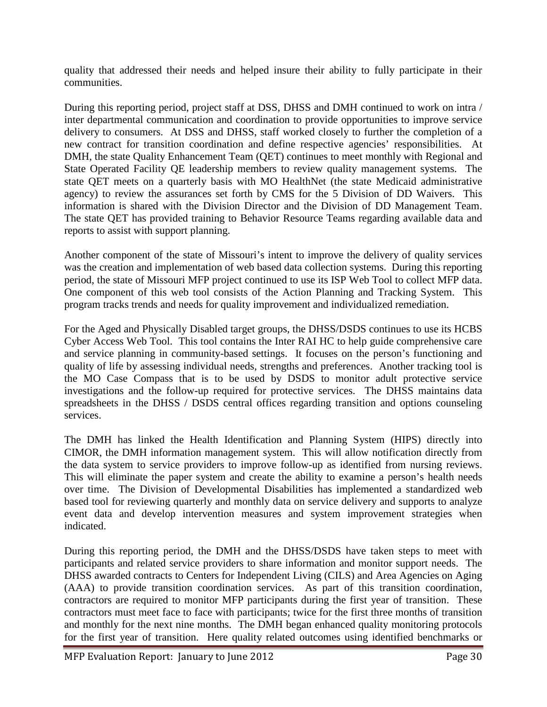quality that addressed their needs and helped insure their ability to fully participate in their communities.

During this reporting period, project staff at DSS, DHSS and DMH continued to work on intra / inter departmental communication and coordination to provide opportunities to improve service delivery to consumers. At DSS and DHSS, staff worked closely to further the completion of a new contract for transition coordination and define respective agencies' responsibilities. At DMH, the state Quality Enhancement Team (QET) continues to meet monthly with Regional and State Operated Facility QE leadership members to review quality management systems. The state QET meets on a quarterly basis with MO HealthNet (the state Medicaid administrative agency) to review the assurances set forth by CMS for the 5 Division of DD Waivers. This information is shared with the Division Director and the Division of DD Management Team. The state QET has provided training to Behavior Resource Teams regarding available data and reports to assist with support planning.

Another component of the state of Missouri's intent to improve the delivery of quality services was the creation and implementation of web based data collection systems. During this reporting period, the state of Missouri MFP project continued to use its ISP Web Tool to collect MFP data. One component of this web tool consists of the Action Planning and Tracking System. This program tracks trends and needs for quality improvement and individualized remediation.

For the Aged and Physically Disabled target groups, the DHSS/DSDS continues to use its HCBS Cyber Access Web Tool. This tool contains the Inter RAI HC to help guide comprehensive care and service planning in community-based settings. It focuses on the person's functioning and quality of life by assessing individual needs, strengths and preferences. Another tracking tool is the MO Case Compass that is to be used by DSDS to monitor adult protective service investigations and the follow-up required for protective services. The DHSS maintains data spreadsheets in the DHSS / DSDS central offices regarding transition and options counseling services.

The DMH has linked the Health Identification and Planning System (HIPS) directly into CIMOR, the DMH information management system. This will allow notification directly from the data system to service providers to improve follow-up as identified from nursing reviews. This will eliminate the paper system and create the ability to examine a person's health needs over time. The Division of Developmental Disabilities has implemented a standardized web based tool for reviewing quarterly and monthly data on service delivery and supports to analyze event data and develop intervention measures and system improvement strategies when indicated.

During this reporting period, the DMH and the DHSS/DSDS have taken steps to meet with participants and related service providers to share information and monitor support needs. The DHSS awarded contracts to Centers for Independent Living (CILS) and Area Agencies on Aging (AAA) to provide transition coordination services. As part of this transition coordination, contractors are required to monitor MFP participants during the first year of transition. These contractors must meet face to face with participants; twice for the first three months of transition and monthly for the next nine months. The DMH began enhanced quality monitoring protocols for the first year of transition. Here quality related outcomes using identified benchmarks or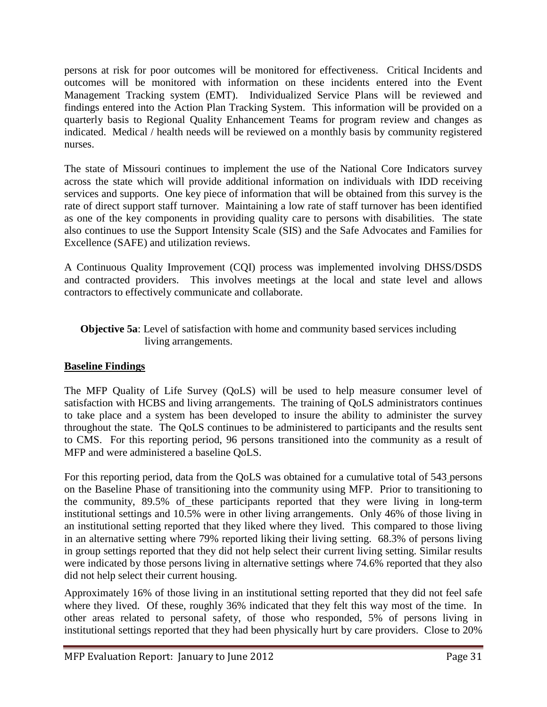persons at risk for poor outcomes will be monitored for effectiveness. Critical Incidents and outcomes will be monitored with information on these incidents entered into the Event Management Tracking system (EMT). Individualized Service Plans will be reviewed and findings entered into the Action Plan Tracking System. This information will be provided on a quarterly basis to Regional Quality Enhancement Teams for program review and changes as indicated. Medical / health needs will be reviewed on a monthly basis by community registered nurses.

The state of Missouri continues to implement the use of the National Core Indicators survey across the state which will provide additional information on individuals with IDD receiving services and supports. One key piece of information that will be obtained from this survey is the rate of direct support staff turnover. Maintaining a low rate of staff turnover has been identified as one of the key components in providing quality care to persons with disabilities. The state also continues to use the Support Intensity Scale (SIS) and the Safe Advocates and Families for Excellence (SAFE) and utilization reviews.

A Continuous Quality Improvement (CQI) process was implemented involving DHSS/DSDS and contracted providers. This involves meetings at the local and state level and allows contractors to effectively communicate and collaborate.

#### **Objective 5a**: Level of satisfaction with home and community based services including living arrangements.

### **Baseline Findings**

The MFP Quality of Life Survey (QoLS) will be used to help measure consumer level of satisfaction with HCBS and living arrangements. The training of QoLS administrators continues to take place and a system has been developed to insure the ability to administer the survey throughout the state. The QoLS continues to be administered to participants and the results sent to CMS. For this reporting period, 96 persons transitioned into the community as a result of MFP and were administered a baseline QoLS.

For this reporting period, data from the QoLS was obtained for a cumulative total of 543 persons on the Baseline Phase of transitioning into the community using MFP. Prior to transitioning to the community, 89.5% of these participants reported that they were living in long-term institutional settings and 10.5% were in other living arrangements. Only 46% of those living in an institutional setting reported that they liked where they lived. This compared to those living in an alternative setting where 79% reported liking their living setting. 68.3% of persons living in group settings reported that they did not help select their current living setting. Similar results were indicated by those persons living in alternative settings where 74.6% reported that they also did not help select their current housing.

Approximately 16% of those living in an institutional setting reported that they did not feel safe where they lived. Of these, roughly 36% indicated that they felt this way most of the time. In other areas related to personal safety, of those who responded, 5% of persons living in institutional settings reported that they had been physically hurt by care providers. Close to 20%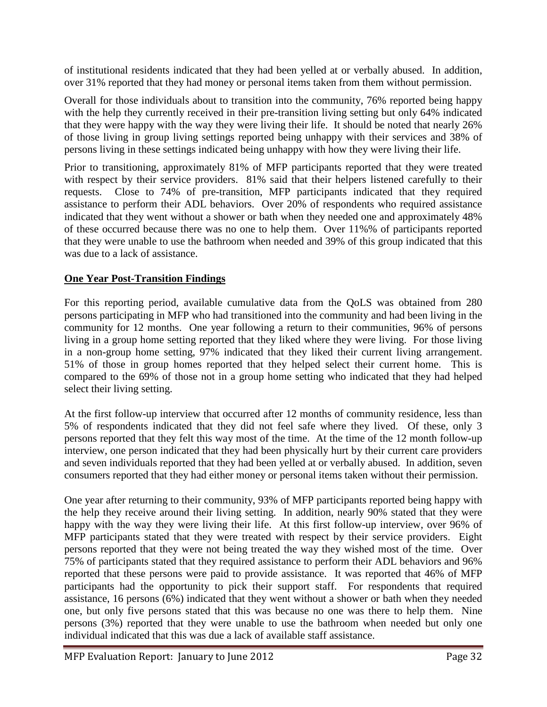of institutional residents indicated that they had been yelled at or verbally abused. In addition, over 31% reported that they had money or personal items taken from them without permission.

Overall for those individuals about to transition into the community, 76% reported being happy with the help they currently received in their pre-transition living setting but only 64% indicated that they were happy with the way they were living their life. It should be noted that nearly 26% of those living in group living settings reported being unhappy with their services and 38% of persons living in these settings indicated being unhappy with how they were living their life.

Prior to transitioning, approximately 81% of MFP participants reported that they were treated with respect by their service providers. 81% said that their helpers listened carefully to their requests. Close to 74% of pre-transition, MFP participants indicated that they required assistance to perform their ADL behaviors. Over 20% of respondents who required assistance indicated that they went without a shower or bath when they needed one and approximately 48% of these occurred because there was no one to help them. Over 11%% of participants reported that they were unable to use the bathroom when needed and 39% of this group indicated that this was due to a lack of assistance.

### **One Year Post-Transition Findings**

For this reporting period, available cumulative data from the QoLS was obtained from 280 persons participating in MFP who had transitioned into the community and had been living in the community for 12 months. One year following a return to their communities, 96% of persons living in a group home setting reported that they liked where they were living. For those living in a non-group home setting, 97% indicated that they liked their current living arrangement. 51% of those in group homes reported that they helped select their current home. This is compared to the 69% of those not in a group home setting who indicated that they had helped select their living setting.

At the first follow-up interview that occurred after 12 months of community residence, less than 5% of respondents indicated that they did not feel safe where they lived. Of these, only 3 persons reported that they felt this way most of the time. At the time of the 12 month follow-up interview, one person indicated that they had been physically hurt by their current care providers and seven individuals reported that they had been yelled at or verbally abused. In addition, seven consumers reported that they had either money or personal items taken without their permission.

One year after returning to their community, 93% of MFP participants reported being happy with the help they receive around their living setting. In addition, nearly 90% stated that they were happy with the way they were living their life. At this first follow-up interview, over 96% of MFP participants stated that they were treated with respect by their service providers. Eight persons reported that they were not being treated the way they wished most of the time. Over 75% of participants stated that they required assistance to perform their ADL behaviors and 96% reported that these persons were paid to provide assistance. It was reported that 46% of MFP participants had the opportunity to pick their support staff. For respondents that required assistance, 16 persons (6%) indicated that they went without a shower or bath when they needed one, but only five persons stated that this was because no one was there to help them. Nine persons (3%) reported that they were unable to use the bathroom when needed but only one individual indicated that this was due a lack of available staff assistance.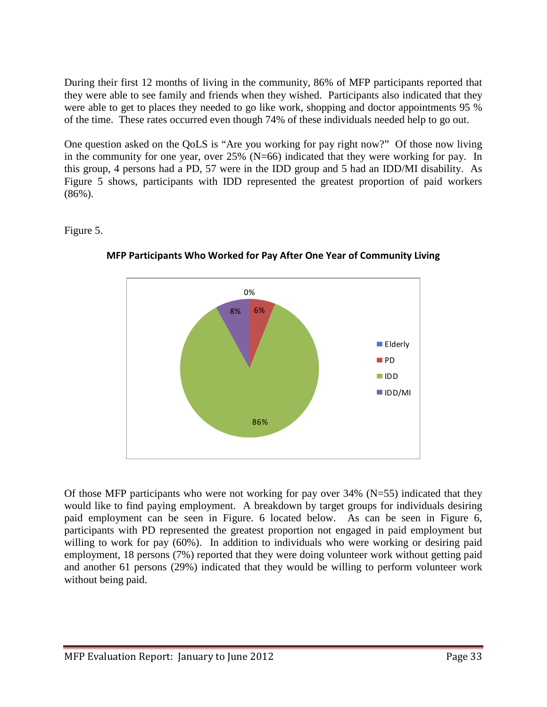During their first 12 months of living in the community, 86% of MFP participants reported that they were able to see family and friends when they wished. Participants also indicated that they were able to get to places they needed to go like work, shopping and doctor appointments 95 % of the time. These rates occurred even though 74% of these individuals needed help to go out.

One question asked on the QoLS is "Are you working for pay right now?" Of those now living in the community for one year, over 25% (N=66) indicated that they were working for pay. In this group, 4 persons had a PD, 57 were in the IDD group and 5 had an IDD/MI disability. As Figure 5 shows, participants with IDD represented the greatest proportion of paid workers  $(86\%)$ .

#### Figure 5.



**MFP Participants Who Worked for Pay After One Year of Community Living**

Of those MFP participants who were not working for pay over  $34\%$  (N=55) indicated that they would like to find paying employment. A breakdown by target groups for individuals desiring paid employment can be seen in Figure. 6 located below. As can be seen in Figure 6, participants with PD represented the greatest proportion not engaged in paid employment but willing to work for pay (60%). In addition to individuals who were working or desiring paid employment, 18 persons (7%) reported that they were doing volunteer work without getting paid and another 61 persons (29%) indicated that they would be willing to perform volunteer work without being paid.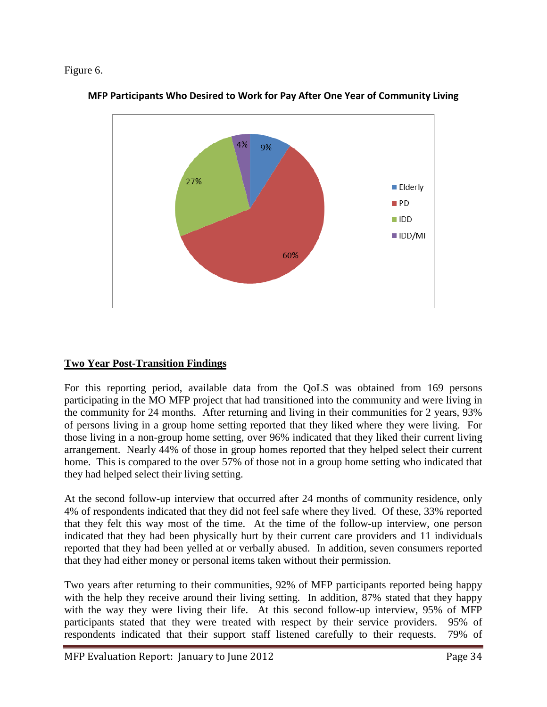#### Figure 6.



**MFP Participants Who Desired to Work for Pay After One Year of Community Living**

## **Two Year Post-Transition Findings**

For this reporting period, available data from the QoLS was obtained from 169 persons participating in the MO MFP project that had transitioned into the community and were living in the community for 24 months. After returning and living in their communities for 2 years, 93% of persons living in a group home setting reported that they liked where they were living. For those living in a non-group home setting, over 96% indicated that they liked their current living arrangement. Nearly 44% of those in group homes reported that they helped select their current home. This is compared to the over 57% of those not in a group home setting who indicated that they had helped select their living setting.

At the second follow-up interview that occurred after 24 months of community residence, only 4% of respondents indicated that they did not feel safe where they lived. Of these, 33% reported that they felt this way most of the time. At the time of the follow-up interview, one person indicated that they had been physically hurt by their current care providers and 11 individuals reported that they had been yelled at or verbally abused. In addition, seven consumers reported that they had either money or personal items taken without their permission.

Two years after returning to their communities, 92% of MFP participants reported being happy with the help they receive around their living setting. In addition, 87% stated that they happy with the way they were living their life. At this second follow-up interview, 95% of MFP participants stated that they were treated with respect by their service providers. 95% of respondents indicated that their support staff listened carefully to their requests. 79% of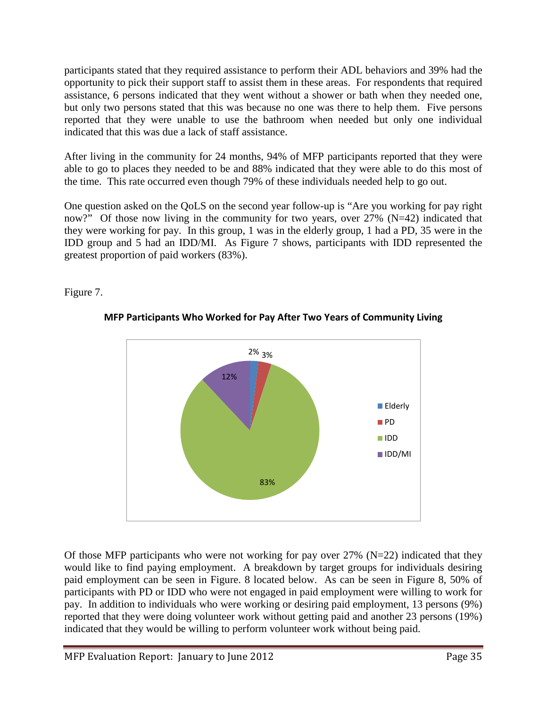participants stated that they required assistance to perform their ADL behaviors and 39% had the opportunity to pick their support staff to assist them in these areas. For respondents that required assistance, 6 persons indicated that they went without a shower or bath when they needed one, but only two persons stated that this was because no one was there to help them. Five persons reported that they were unable to use the bathroom when needed but only one individual indicated that this was due a lack of staff assistance.

After living in the community for 24 months, 94% of MFP participants reported that they were able to go to places they needed to be and 88% indicated that they were able to do this most of the time. This rate occurred even though 79% of these individuals needed help to go out.

One question asked on the QoLS on the second year follow-up is "Are you working for pay right now?" Of those now living in the community for two years, over 27% (N=42) indicated that they were working for pay. In this group, 1 was in the elderly group, 1 had a PD, 35 were in the IDD group and 5 had an IDD/MI. As Figure 7 shows, participants with IDD represented the greatest proportion of paid workers (83%).

Figure 7.



### **MFP Participants Who Worked for Pay After Two Years of Community Living**

Of those MFP participants who were not working for pay over  $27\%$  (N=22) indicated that they would like to find paying employment. A breakdown by target groups for individuals desiring paid employment can be seen in Figure. 8 located below. As can be seen in Figure 8, 50% of participants with PD or IDD who were not engaged in paid employment were willing to work for pay. In addition to individuals who were working or desiring paid employment, 13 persons (9%) reported that they were doing volunteer work without getting paid and another 23 persons (19%) indicated that they would be willing to perform volunteer work without being paid.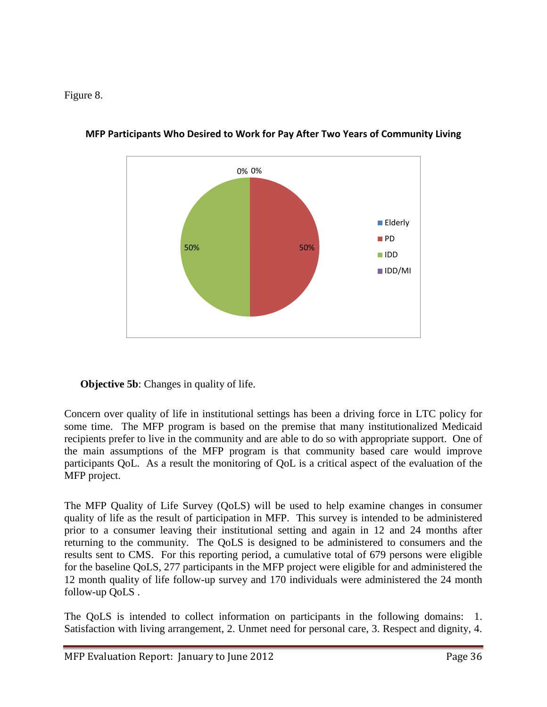Figure 8.



**MFP Participants Who Desired to Work for Pay After Two Years of Community Living**

**Objective 5b:** Changes in quality of life.

Concern over quality of life in institutional settings has been a driving force in LTC policy for some time. The MFP program is based on the premise that many institutionalized Medicaid recipients prefer to live in the community and are able to do so with appropriate support. One of the main assumptions of the MFP program is that community based care would improve participants QoL. As a result the monitoring of QoL is a critical aspect of the evaluation of the MFP project.

The MFP Quality of Life Survey (QoLS) will be used to help examine changes in consumer quality of life as the result of participation in MFP. This survey is intended to be administered prior to a consumer leaving their institutional setting and again in 12 and 24 months after returning to the community. The QoLS is designed to be administered to consumers and the results sent to CMS. For this reporting period, a cumulative total of 679 persons were eligible for the baseline QoLS, 277 participants in the MFP project were eligible for and administered the 12 month quality of life follow-up survey and 170 individuals were administered the 24 month follow-up QoLS .

The QoLS is intended to collect information on participants in the following domains: 1. Satisfaction with living arrangement, 2. Unmet need for personal care, 3. Respect and dignity, 4.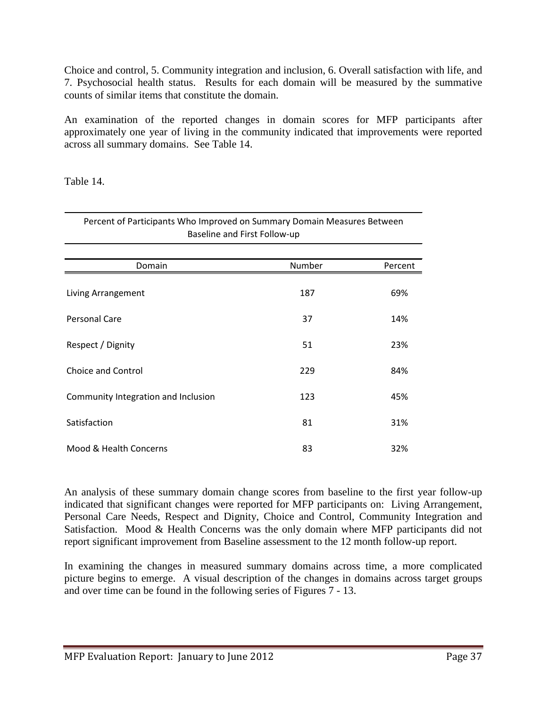Choice and control, 5. Community integration and inclusion, 6. Overall satisfaction with life, and 7. Psychosocial health status. Results for each domain will be measured by the summative counts of similar items that constitute the domain.

An examination of the reported changes in domain scores for MFP participants after approximately one year of living in the community indicated that improvements were reported across all summary domains. See Table 14.

Table 14.

| Percent of Participants Who Improved on Summary Domain Measures Between<br>Baseline and First Follow-up |        |         |  |  |
|---------------------------------------------------------------------------------------------------------|--------|---------|--|--|
| Domain                                                                                                  | Number | Percent |  |  |
|                                                                                                         |        |         |  |  |
| Living Arrangement                                                                                      | 187    | 69%     |  |  |
| Personal Care                                                                                           | 37     | 14%     |  |  |
| Respect / Dignity                                                                                       | 51     | 23%     |  |  |
| Choice and Control                                                                                      | 229    | 84%     |  |  |
| Community Integration and Inclusion                                                                     | 123    | 45%     |  |  |
| Satisfaction                                                                                            | 81     | 31%     |  |  |
| Mood & Health Concerns                                                                                  | 83     | 32%     |  |  |

An analysis of these summary domain change scores from baseline to the first year follow-up indicated that significant changes were reported for MFP participants on: Living Arrangement, Personal Care Needs, Respect and Dignity, Choice and Control, Community Integration and Satisfaction. Mood & Health Concerns was the only domain where MFP participants did not report significant improvement from Baseline assessment to the 12 month follow-up report.

In examining the changes in measured summary domains across time, a more complicated picture begins to emerge. A visual description of the changes in domains across target groups and over time can be found in the following series of Figures 7 - 13.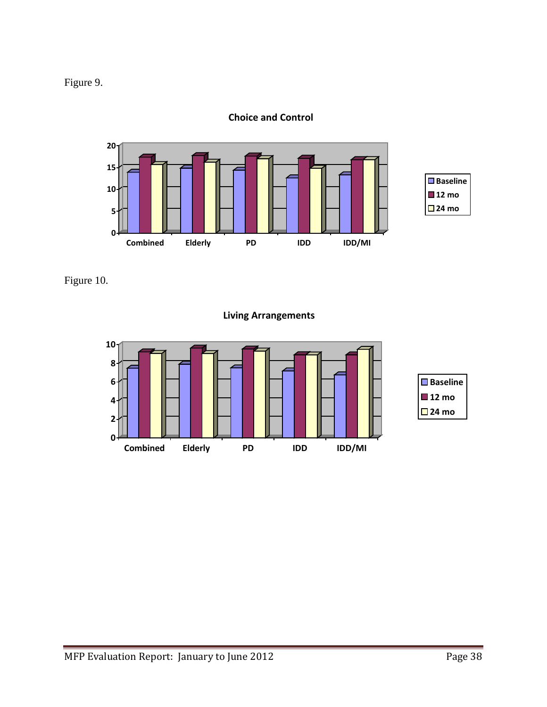



**Choice and Control**

Figure 10.

**Living Arrangements**

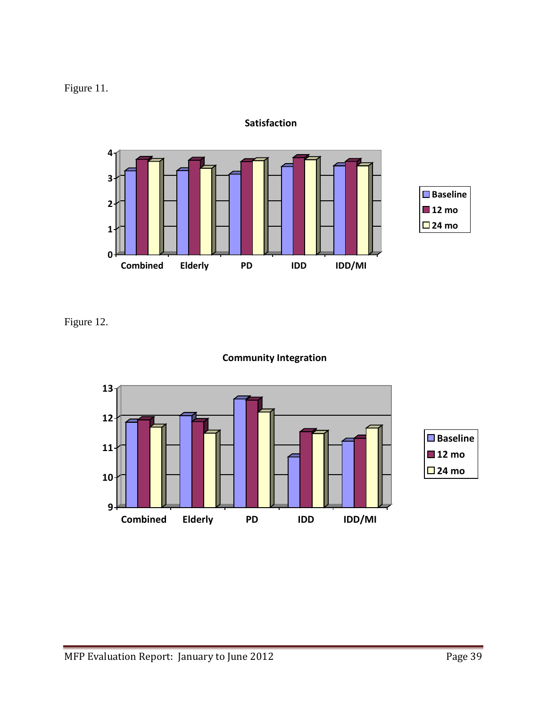Figure 11.



**Satisfaction**

Figure 12.



## **Community Integration**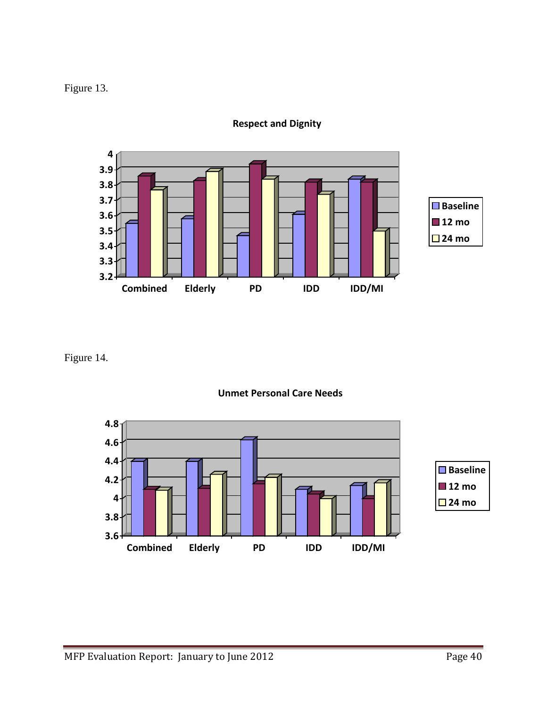Figure 13.



**Respect and Dignity**

Figure 14.



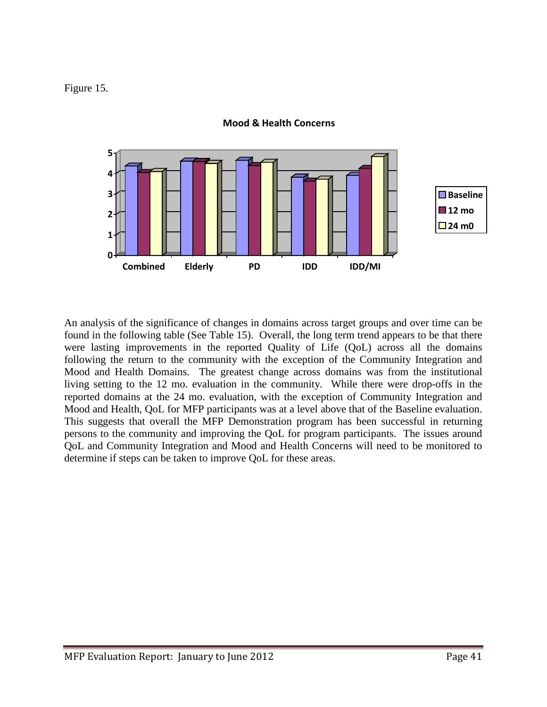Figure 15.



**Mood & Health Concerns**

An analysis of the significance of changes in domains across target groups and over time can be found in the following table (See Table 15). Overall, the long term trend appears to be that there were lasting improvements in the reported Quality of Life (QoL) across all the domains following the return to the community with the exception of the Community Integration and Mood and Health Domains. The greatest change across domains was from the institutional living setting to the 12 mo. evaluation in the community. While there were drop-offs in the reported domains at the 24 mo. evaluation, with the exception of Community Integration and Mood and Health, QoL for MFP participants was at a level above that of the Baseline evaluation. This suggests that overall the MFP Demonstration program has been successful in returning persons to the community and improving the QoL for program participants. The issues around QoL and Community Integration and Mood and Health Concerns will need to be monitored to determine if steps can be taken to improve QoL for these areas.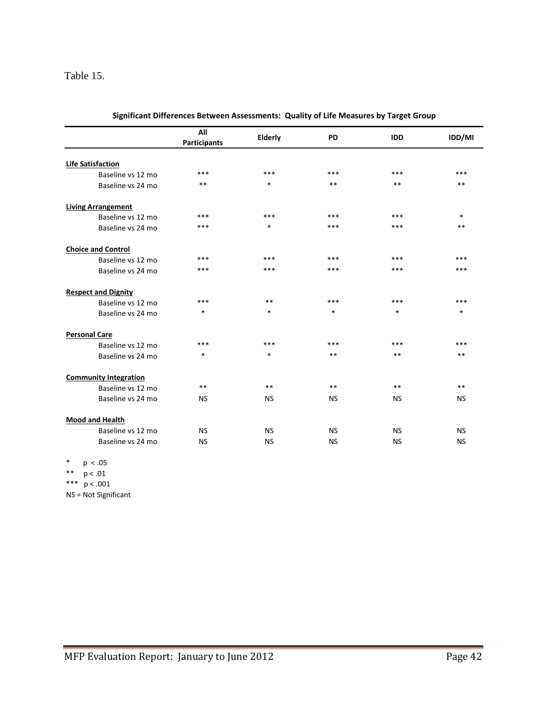### Table 15.

|                              | All<br><b>Participants</b> | Elderly   | <b>PD</b> | <b>IDD</b> | IDD/MI    |
|------------------------------|----------------------------|-----------|-----------|------------|-----------|
|                              |                            |           |           |            |           |
| <b>Life Satisfaction</b>     |                            |           |           |            |           |
| Baseline vs 12 mo            | ***                        | ***       | ***       | ***        | ***       |
| Baseline vs 24 mo            | $***$                      | $\ast$    | $***$     | $***$      | **        |
| <b>Living Arrangement</b>    |                            |           |           |            |           |
| Baseline vs 12 mo            | $***$                      | ***       | $***$     | ***        | $\ast$    |
| Baseline vs 24 mo            | $***$                      | $\ast$    | ***       | ***        | **        |
| <b>Choice and Control</b>    |                            |           |           |            |           |
| Baseline vs 12 mo            | ***                        | ***       | ***       | ***        | ***       |
| Baseline vs 24 mo            | ***                        | ***       | ***       | ***        | ***       |
| <b>Respect and Dignity</b>   |                            |           |           |            |           |
| Baseline vs 12 mo            | ***                        | $***$     | ***       | ***        | ***       |
| Baseline vs 24 mo            | $\ast$                     | *         | $\ast$    | $\ast$     | $\ast$    |
| <b>Personal Care</b>         |                            |           |           |            |           |
| Baseline vs 12 mo            | ***                        | ***       | ***       | ***        | ***       |
| Baseline vs 24 mo            | $\ast$                     | $\ast$    | $***$     | $***$      | **        |
| <b>Community Integration</b> |                            |           |           |            |           |
| Baseline vs 12 mo            | $***$                      | $***$     | $***$     | $***$      | $***$     |
| Baseline vs 24 mo            | <b>NS</b>                  | <b>NS</b> | <b>NS</b> | <b>NS</b>  | <b>NS</b> |
| <b>Mood and Health</b>       |                            |           |           |            |           |
| Baseline vs 12 mo            | <b>NS</b>                  | <b>NS</b> | <b>NS</b> | <b>NS</b>  | <b>NS</b> |
| Baseline vs 24 mo            | <b>NS</b>                  | <b>NS</b> | <b>NS</b> | <b>NS</b>  | <b>NS</b> |

| Significant Differences Between Assessments: Quality of Life Measures by Target Group |  |
|---------------------------------------------------------------------------------------|--|
|                                                                                       |  |

\* p < .05 \*\* p < .01

\*\*\* p < .001

NS = Not Significant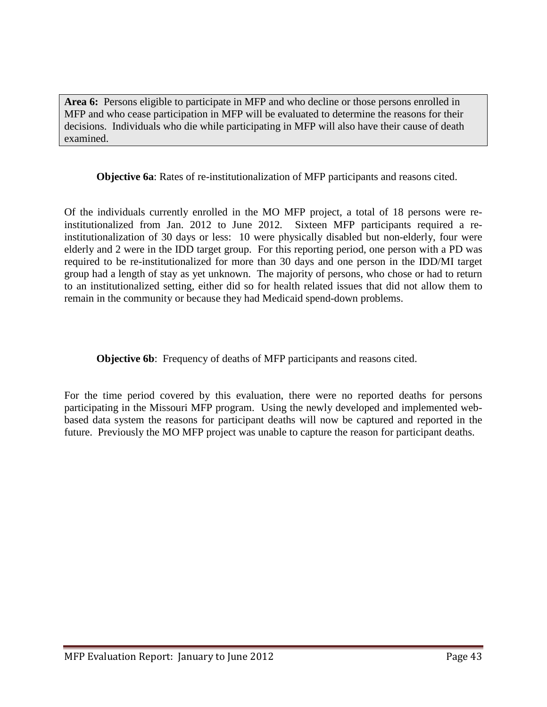**Area 6:** Persons eligible to participate in MFP and who decline or those persons enrolled in MFP and who cease participation in MFP will be evaluated to determine the reasons for their decisions. Individuals who die while participating in MFP will also have their cause of death examined.

**Objective 6a**: Rates of re-institutionalization of MFP participants and reasons cited.

Of the individuals currently enrolled in the MO MFP project, a total of 18 persons were reinstitutionalized from Jan. 2012 to June 2012. Sixteen MFP participants required a reinstitutionalization of 30 days or less: 10 were physically disabled but non-elderly, four were elderly and 2 were in the IDD target group. For this reporting period, one person with a PD was required to be re-institutionalized for more than 30 days and one person in the IDD/MI target group had a length of stay as yet unknown. The majority of persons, who chose or had to return to an institutionalized setting, either did so for health related issues that did not allow them to remain in the community or because they had Medicaid spend-down problems.

**Objective 6b:** Frequency of deaths of MFP participants and reasons cited.

For the time period covered by this evaluation, there were no reported deaths for persons participating in the Missouri MFP program. Using the newly developed and implemented webbased data system the reasons for participant deaths will now be captured and reported in the future. Previously the MO MFP project was unable to capture the reason for participant deaths.